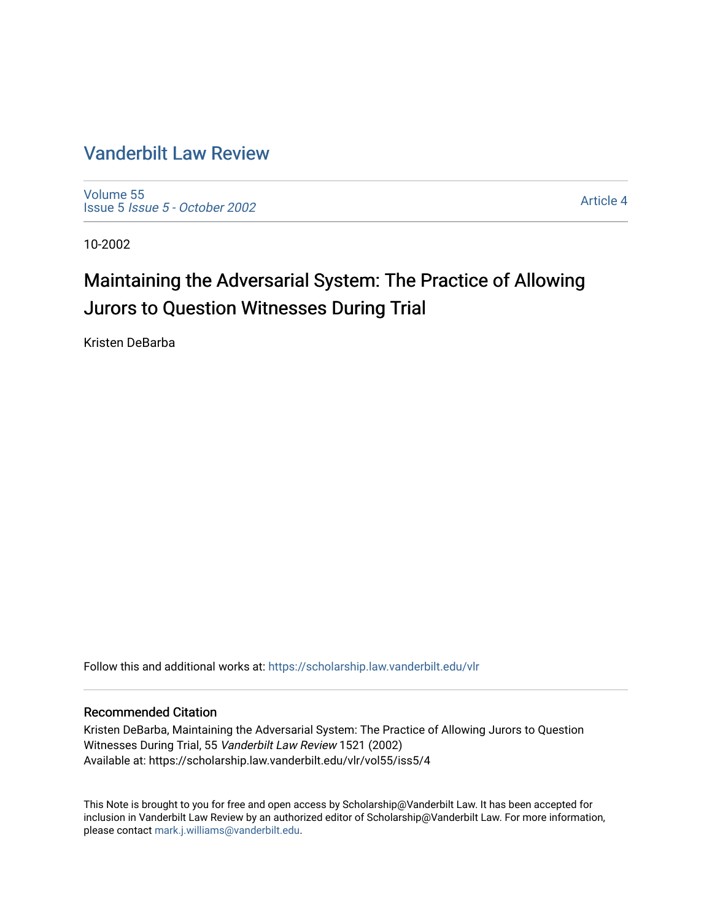### [Vanderbilt Law Review](https://scholarship.law.vanderbilt.edu/vlr)

[Volume 55](https://scholarship.law.vanderbilt.edu/vlr/vol55) Issue 5 [Issue 5 - October 2002](https://scholarship.law.vanderbilt.edu/vlr/vol55/iss5) 

[Article 4](https://scholarship.law.vanderbilt.edu/vlr/vol55/iss5/4) 

10-2002

## Maintaining the Adversarial System: The Practice of Allowing Jurors to Question Witnesses During Trial

Kristen DeBarba

Follow this and additional works at: [https://scholarship.law.vanderbilt.edu/vlr](https://scholarship.law.vanderbilt.edu/vlr?utm_source=scholarship.law.vanderbilt.edu%2Fvlr%2Fvol55%2Fiss5%2F4&utm_medium=PDF&utm_campaign=PDFCoverPages)

#### Recommended Citation

Kristen DeBarba, Maintaining the Adversarial System: The Practice of Allowing Jurors to Question Witnesses During Trial, 55 Vanderbilt Law Review 1521 (2002) Available at: https://scholarship.law.vanderbilt.edu/vlr/vol55/iss5/4

This Note is brought to you for free and open access by Scholarship@Vanderbilt Law. It has been accepted for inclusion in Vanderbilt Law Review by an authorized editor of Scholarship@Vanderbilt Law. For more information, please contact [mark.j.williams@vanderbilt.edu.](mailto:mark.j.williams@vanderbilt.edu)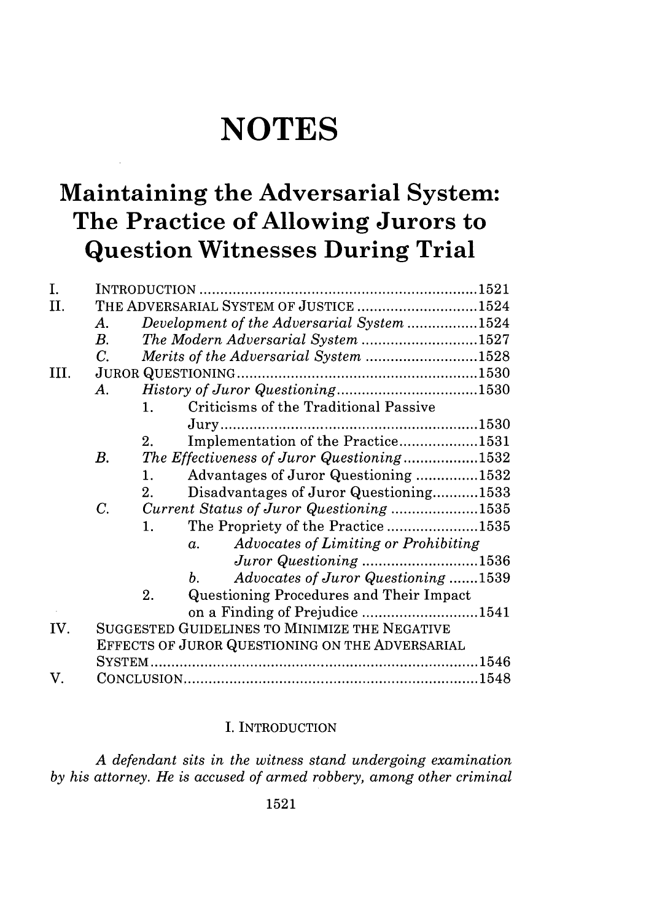# **NOTES**

## **Maintaining the Adversarial System: The Practice of Allowing Jurors to Question Witnesses During Trial**

| THE ADVERSARIAL SYSTEM OF JUSTICE 1524<br>Development of the Adversarial System 1524<br>The Modern Adversarial System 1527<br>Merits of the Adversarial System 1528 |
|---------------------------------------------------------------------------------------------------------------------------------------------------------------------|
|                                                                                                                                                                     |
|                                                                                                                                                                     |
|                                                                                                                                                                     |
|                                                                                                                                                                     |
|                                                                                                                                                                     |
|                                                                                                                                                                     |
|                                                                                                                                                                     |
|                                                                                                                                                                     |
| Implementation of the Practice1531                                                                                                                                  |
| The Effectiveness of Juror Questioning1532                                                                                                                          |
| Advantages of Juror Questioning 1532                                                                                                                                |
| Disadvantages of Juror Questioning1533                                                                                                                              |
| Current Status of Juror Questioning 1535                                                                                                                            |
| The Propriety of the Practice1535                                                                                                                                   |
| Advocates of Limiting or Prohibiting                                                                                                                                |
| Juror Questioning 1536                                                                                                                                              |
| Advocates of Juror Questioning 1539                                                                                                                                 |
|                                                                                                                                                                     |
| on a Finding of Prejudice 1541                                                                                                                                      |
|                                                                                                                                                                     |
|                                                                                                                                                                     |
|                                                                                                                                                                     |
|                                                                                                                                                                     |
|                                                                                                                                                                     |

#### I. INTRODUCTION

*A defendant sits in the witness stand undergoing examination by his attorney. He is accused of armed robbery, among other criminal*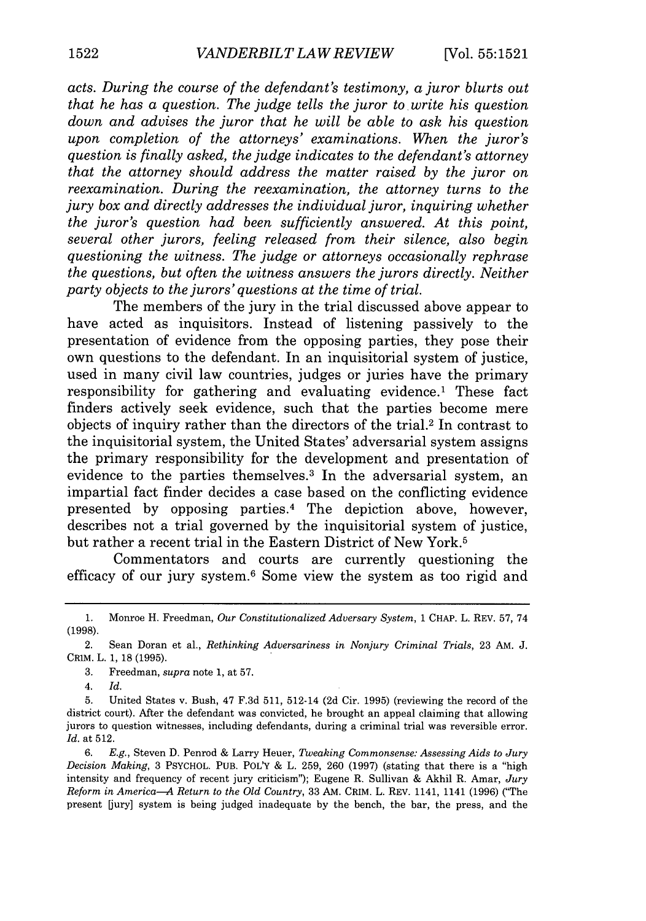*acts. During the course of the defendant's testimony, a juror blurts out that he has a question. The judge tells the juror to write his question down and advises the juror that he will be able to ask his question upon completion of the attorneys' examinations. When the juror's question is finally asked, the judge indicates to the defendant's attorney that the attorney should address the matter raised by the juror on reexamination. During the reexamination, the attorney turns to the jury box and directly addresses the individual juror, inquiring whether the juror's question had been sufficiently answered. At this point, several other jurors, feeling released from their silence, also begin questioning the witness. The judge or attorneys occasionally rephrase the questions, but often the witness answers the jurors directly. Neither party objects to the jurors'questions at the time of trial.*

The members of the jury in the trial discussed above appear to have acted as inquisitors. Instead of listening passively to the presentation of evidence from the opposing parties, they pose their own questions to the defendant. In an inquisitorial system of justice, used in many civil law countries, judges or juries have the primary responsibility for gathering and evaluating evidence.1 These fact finders actively seek evidence, such that the parties become mere objects of inquiry rather than the directors of the trial.2 In contrast to the inquisitorial system, the United States' adversarial system assigns the primary responsibility for the development and presentation of evidence to the parties themselves.<sup>3</sup> In the adversarial system, an impartial fact finder decides a case based on the conflicting evidence presented by opposing parties.<sup>4</sup> The depiction above, however, describes not a trial governed by the inquisitorial system of justice, but rather a recent trial in the Eastern District of New York.<sup>5</sup>

Commentators and courts are currently questioning the efficacy of our jury system. 6 Some view the system as too rigid and

4. *Id.*

<sup>1.</sup> Monroe H. Freedman, *Our Constitutionalized Adversary System,* 1 CHAP. L. REV. 57, 74 (1998).

<sup>2.</sup> Sean Doran et al., *Rethinking Adversariness in Nonjury Criminal Trials,* 23 AM. J. CRIM. L. 1, 18 (1995).

<sup>3.</sup> Freedman, *supra* note 1, at 57.

<sup>5.</sup> United States v. Bush, 47 F.3d 511, 512-14 (2d Cir. 1995) (reviewing the record of the district court). After the defendant was convicted, he brought an appeal claiming that allowing jurors to question witnesses, including defendants, during a criminal trial was reversible error. *Id.* at 512.

<sup>6.</sup> *E.g.,* Steven D. Penrod & Larry Heuer, *Tweaking Commonsense: Assessing Aids to Jury Decision Making,* 3 PSYCHOL. PUB. POL'Y & L. 259, 260 (1997) (stating that there is a "high intensity and frequency of recent jury criticism"); Eugene R. Sullivan & Akhil R. Amar, *Jury Reform in America-A Return to the Old Country,* 33 AM. CRIM. L. REV. 1141, 1141 (1996) ("The present [jury] system is being judged inadequate by the bench, the bar, the press, and the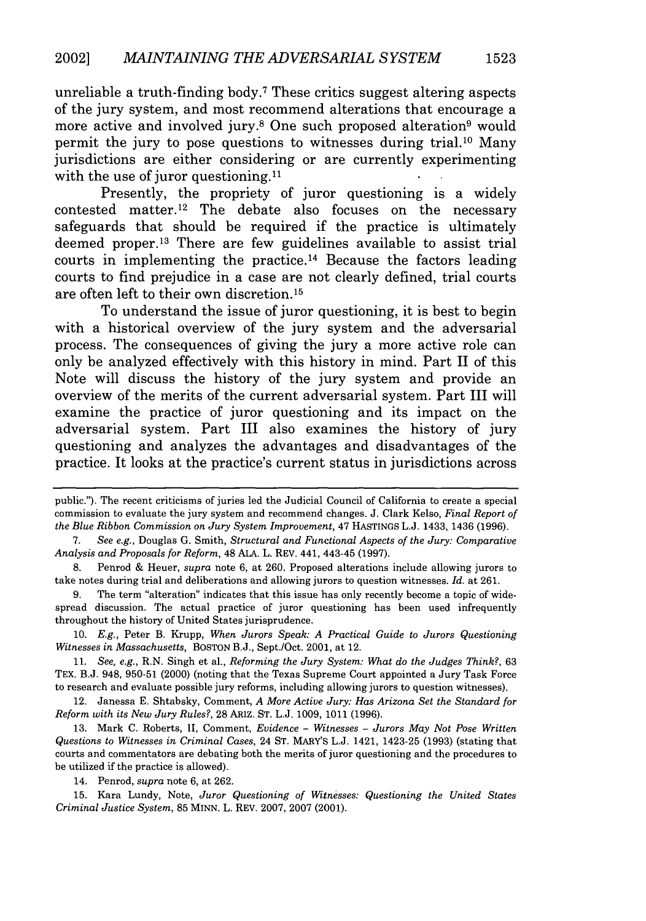unreliable a truth-finding body.7 These critics suggest altering aspects of the jury system, and most recommend alterations that encourage a more active and involved jury.<sup>8</sup> One such proposed alteration<sup>9</sup> would permit the jury to pose questions to witnesses during trial.<sup>10</sup> Many jurisdictions are either considering or are currently experimenting with the use of juror questioning.<sup>11</sup>

Presently, the propriety of juror questioning is a widely contested matter.<sup>12</sup> The debate also focuses on the necessary safeguards that should be required if the practice is ultimately deemed proper.<sup>13</sup> There are few guidelines available to assist trial courts in implementing the practice.<sup>14</sup> Because the factors leading courts to find prejudice in a case are not clearly defined, trial courts are often left to their own discretion.<sup>15</sup>

To understand the issue of juror questioning, it is best to begin with a historical overview of the jury system and the adversarial process. The consequences of giving the jury a more active role can only be analyzed effectively with this history in mind. Part II of this Note will discuss the history of the jury system and provide an overview of the merits of the current adversarial system. Part III will examine the practice of juror questioning and its impact on the adversarial system. Part III also examines the history of jury questioning and analyzes the advantages and disadvantages of the practice. It looks at the practice's current status in jurisdictions across

8. Penrod & Heuer, *supra* note 6, at 260. Proposed alterations include allowing jurors to take notes during trial and deliberations and allowing jurors to question witnesses. *Id.* at 261.

9. The term "alteration" indicates that this issue has only recently become a topic of widespread discussion. The actual practice of juror questioning has been used infrequently throughout the history of United States jurisprudence.

10. *E.g.,* Peter B. Krupp, *When Jurors Speak: A Practical Guide to Jurors Questioning Witnesses in Massachusetts,* BOSTON B.J., Sept./Oct. 2001, at 12.

11. *See, e.g.,* R.N. Singh et al., *Reforming the Jury System: What do the Judges Think?,* 63 TEX. B.J. 948, 950-51 (2000) (noting that the Texas Supreme Court appointed a Jury Task Force to research and evaluate possible jury reforms, including allowing jurors to question witnesses).

12. Janessa E. Shtabsky, Comment, *A More Active Jury: Has Arizona Set the Standard for Reform with its New Jury Rules?,* 28 ARiZ. ST. L.J. 1009, 1011 (1996).

13. Mark C. Roberts, II, Comment, *Evidence* - *Witnesses* - *Jurors May Not Pose Written Questions to Witnesses in Criminal Cases,* 24 ST. MARY'S L.J. 1421, 1423-25 (1993) (stating that courts and commentators are debating both the merits of juror questioning and the procedures to be utilized if the practice is allowed).

14. Penrod, *supra* note 6, at 262.

15. Kara Lundy, Note, *Juror Questioning of Witnesses: Questioning the United States Criminal Justice System,* 85 MINN. L. REV. 2007, 2007 (2001).

public."). The recent criticisms of juries led the Judicial Council of California to create a special commission to evaluate the jury system and recommend changes. J. Clark Kelso, *Final Report of the Blue Ribbon Commission on Jury System Improvement,* 47 HASTINGS L.J. 1433, 1436 (1996).

<sup>7.</sup> *See e.g.,* Douglas G. Smith, *Structural and Functional Aspects of the Jury: Comparative Analysis and Proposals for Reform,* 48 ALA. L. REV. 441, 443-45 (1997).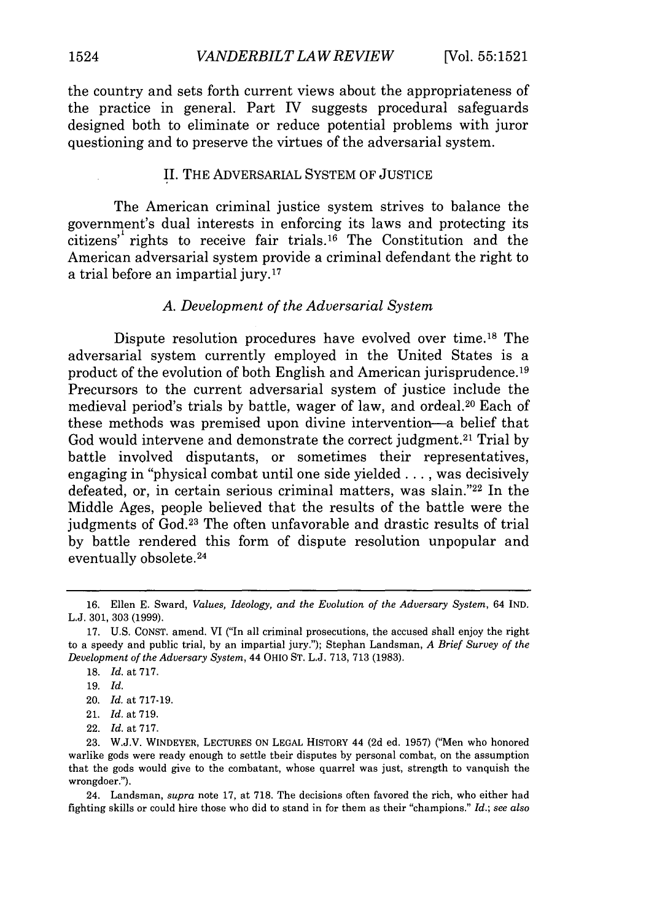the country and sets forth current views about the appropriateness of the practice in general. Part IV suggests procedural safeguards designed both to eliminate or reduce potential problems with juror questioning and to preserve the virtues of the adversarial system.

#### II. THE ADVERSARIAL SYSTEM OF JUSTICE

The American criminal justice system strives to balance the government's dual interests in enforcing its laws and protecting its citizens<sup> $t'$ </sup> rights to receive fair trials.<sup>16</sup> The Constitution and the American adversarial system provide a criminal defendant the right to a trial before an impartial jury. <sup>17</sup>

#### *A. Development of the Adversarial System*

Dispute resolution procedures have evolved over time.18 The adversarial system currently employed in the United States is a product of the evolution of both English and American jurisprudence. **19** Precursors to the current adversarial system of justice include the medieval period's trials by battle, wager of law, and ordeal. 20 Each of these methods was premised upon divine intervention-a belief that God would intervene and demonstrate the correct judgment.<sup>21</sup> Trial by battle involved disputants, or sometimes their representatives, engaging in "physical combat until one side yielded... was decisively defeated, or, in certain serious criminal matters, was slain."22 In the Middle Ages, people believed that the results of the battle were the judgments of God.23 The often unfavorable and drastic results of trial by battle rendered this form of dispute resolution unpopular and eventually obsolete. <sup>24</sup>

20. *Id.* at 717-19.

22. *Id.* at 717.

24. Landsman, *supra* note 17, at 718. The decisions often favored the rich, who either had fighting skills or could hire those who did to stand in for them as their "champions." *Id.; see also*

<sup>16.</sup> Ellen E. Sward, *Values, Ideology, and the Evolution of the Adversary System,* 64 IND. L.J. 301, 303 (1999).

<sup>17.</sup> U.S. **CONST.** amend. VI ("In all criminal prosecutions, the accused shall enjoy the right to a speedy and public trial, by an impartial jury."); Stephan Landsman, *A Brief Survey of the Development of the Adversary System,* 44 OHIO ST. L.J. 713, 713 (1983).

<sup>18.</sup> *Id.* at 717.

**<sup>19.</sup>** *Id.*

<sup>21.</sup> Id. at 719.

<sup>23.</sup> W.J.V. WINDEYER, LECTURES **ON LEGAL** HISTORY 44 **(2d** ed. 1957) ('Men who honored warlike gods were ready enough to settle their disputes by personal combat, on the assumption that the gods would give to the combatant, whose quarrel was just, strength to vanquish the wrongdoer.").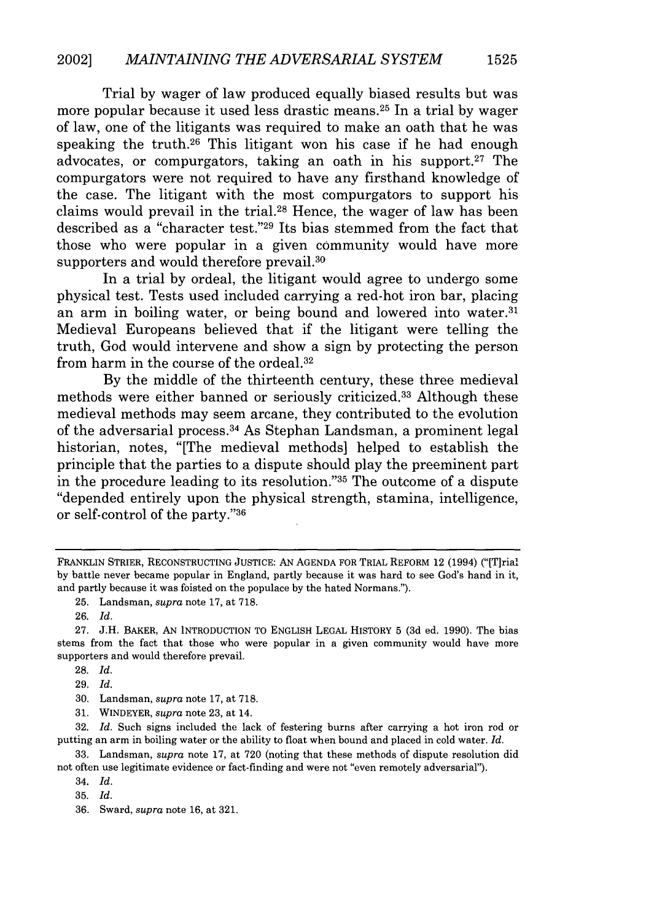Trial by wager of law produced equally biased results but was more popular because it used less drastic means.<sup>25</sup> In a trial by wager of law, one of the litigants was required to make an oath that he was speaking the truth.26 This litigant won his case if he had enough advocates, or compurgators, taking an oath in his support.<sup>27</sup> The compurgators were not required to have any firsthand knowledge of the case. The litigant with the most compurgators to support his claims would prevail in the trial.28 Hence, the wager of law has been described as a "character test."29 Its bias stemmed from the fact that those who were popular in a given community would have more supporters and would therefore prevail.<sup>30</sup>

In a trial by ordeal, the litigant would agree to undergo some physical test. Tests used included carrying a red-hot iron bar, placing an arm in boiling water, or being bound and lowered into water.<sup>31</sup> Medieval Europeans believed that if the litigant were telling the truth, God would intervene and show a sign by protecting the person from harm in the course of the ordeal. <sup>32</sup>

By the middle of the thirteenth century, these three medieval methods were either banned or seriously criticized.33 Although these medieval methods may seem arcane, they contributed to the evolution of the adversarial process.<sup>34</sup> As Stephan Landsman, a prominent legal historian, notes, "[The medieval methods] helped to establish the principle that the parties to a dispute should play the preeminent part in the procedure leading to its resolution."<sup>35</sup> The outcome of a dispute "depended entirely upon the physical strength, stamina, intelligence, or self-control of the party."36

28. *Id.*

30. Landsman, *supra* note 17, at 718.

32. *Id.* Such signs included the lack of festering burns after carrying a hot iron rod or putting an arm in boiling water or the ability to float when bound and placed in cold water. *Id.*

33. Landsman, *supra* note 17, at 720 (noting that these methods of dispute resolution did not often use legitimate evidence or fact-finding and were not "even remotely adversarial").

34. *Id.*

35. *Id.*

36. Sward, *supra* note 16, at 321.

**1525**

FRANKLIN STRIER, RECONSTRUCTING JUSTICE: AN AGENDA FOR TRIAL REFORM 12 (1994) ("[T]rial by battle never became popular in England, partly because it was hard to see God's hand in it, and partly because it was foisted on the populace by the hated Normans.").

<sup>25.</sup> Landsman, *supra* note 17, at 718.

<sup>26.</sup> *Id.*

<sup>27.</sup> J.H. BAKER, AN INTRODUCTION TO ENGLISH LEGAL HISTORY 5 (3d ed. 1990). The bias stems from the fact that those who were popular in a given community would have more supporters and would therefore prevail.

<sup>29.</sup> *Id.*

<sup>31.</sup> WINDEYER, *supra* note 23, at 14.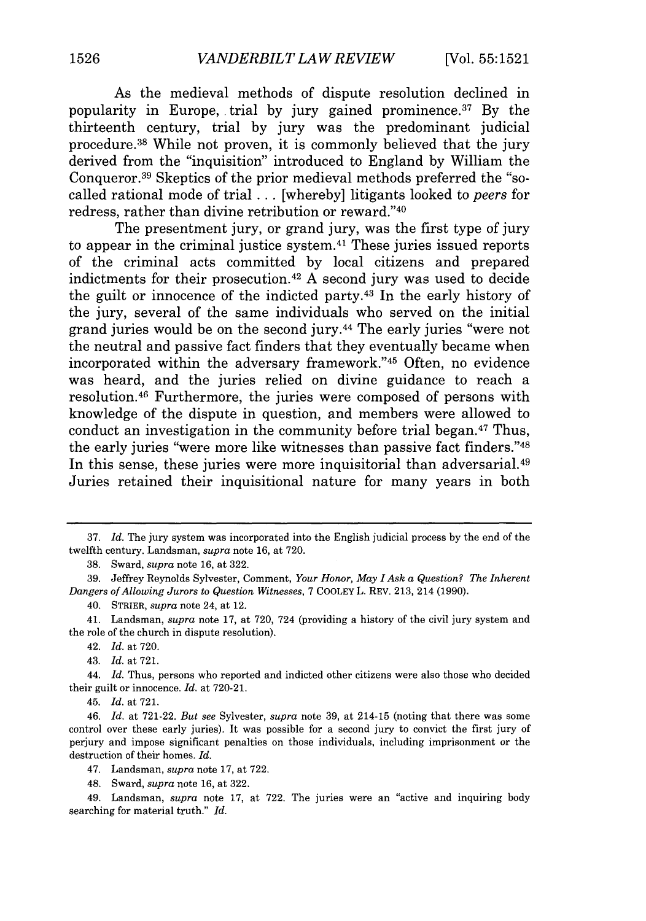As the medieval methods of dispute resolution declined in popularity in Europe, trial by jury gained prominence.<sup>37</sup> By the thirteenth century, trial by jury was the predominant judicial procedure. 38 While not proven, it is commonly believed that the jury derived from the "inquisition" introduced to England by William the Conqueror.<sup>39</sup> Skeptics of the prior medieval methods preferred the "socalled rational mode of trial ... [whereby] litigants looked to *peers* for redress, rather than divine retribution or reward."40

The presentment jury, or grand jury, was the first type of jury to appear in the criminal justice system. 41 These juries issued reports of the criminal acts committed by local citizens and prepared indictments for their prosecution. 42 A second jury was used to decide the guilt or innocence of the indicted party. 43 In the early history of the jury, several of the same individuals who served on the initial grand juries would be on the second jury.44 The early juries "were not the neutral and passive fact finders that they eventually became when incorporated within the adversary framework."<sup>45</sup> Often, no evidence was heard, and the juries relied on divine guidance to reach a resolution. 46 Furthermore, the juries were composed of persons with knowledge of the dispute in question, and members were allowed to conduct an investigation in the community before trial began.47 Thus, the early juries "were more like witnesses than passive fact finders."48 In this sense, these juries were more inquisitorial than adversarial.<sup>49</sup> Juries retained their inquisitional nature for many years in both

40. STRIER, *supra* note 24, at 12.

44. *Id.* Thus, persons who reported and indicted other citizens were also those who decided their guilt or innocence. *Id.* at 720-21.

45. Id. at 721.

47. Landsman, *supra* note 17, at 722.

48. Sward, *supra* note 16, at 322.

49. Landsman, *supra* note 17, at 722. The juries were an "active and inquiring body searching for material truth." *Id.*

<sup>37.</sup> *Id.* The jury system was incorporated into the English judicial process by the end of the twelfth century. Landsman, *supra* note 16, at 720.

<sup>38.</sup> Sward, *supra* note 16, at 322.

<sup>39.</sup> Jeffrey Reynolds Sylvester, Comment, *Your Honor, May I Ask a Question? The Inherent Dangers of Allowing Jurors to Question Witnesses,* 7 COOLEY L. REV. 213, 214 (1990).

<sup>41.</sup> Landsman, *supra* note 17, at 720, 724 (providing a history of the civil jury system and the role of the church in dispute resolution).

<sup>42.</sup> *Id.* at 720.

<sup>43.</sup> Id. at 721.

<sup>46.</sup> *Id.* at 721-22. *But see* Sylvester, *supra* note 39, at 214-15 (noting that there was some control over these early juries). It was possible for a second jury to convict the first jury of perjury and impose significant penalties on those individuals, including imprisonment or the destruction of their homes. *Id.*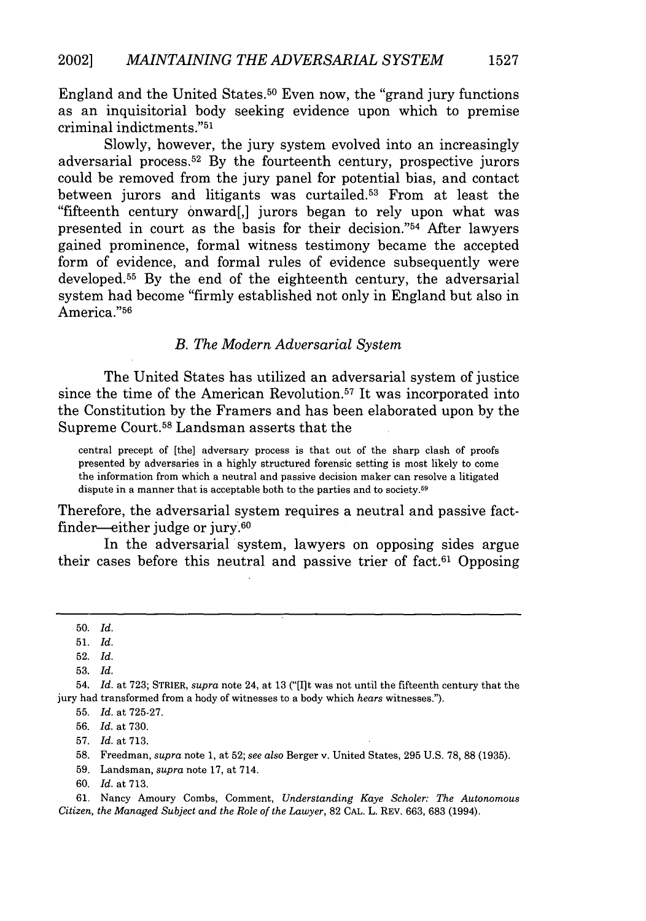England and the United States. 50 Even now, the "grand jury functions as an inquisitorial body seeking evidence upon which to premise criminal indictments. '51

Slowly, however, the jury system evolved into an increasingly adversarial process. 52 By the fourteenth century, prospective jurors could be removed from the jury panel for potential bias, and contact between jurors and litigants was curtailed.<sup>53</sup> From at least the "fifteenth century onward[,] jurors began to rely upon what was presented in court as the basis for their decision."54 After lawyers gained prominence, formal witness testimony became the accepted form of evidence, and formal rules of evidence subsequently were developed. 55 By the end of the eighteenth century, the adversarial system had become "firmly established not only in England but also in America."56

#### *B. The Modern Adversarial System*

The United States has utilized an adversarial system of justice since the time of the American Revolution.<sup>57</sup> It was incorporated into the Constitution by the Framers and has been elaborated upon by the Supreme Court.58 Landsman asserts that the

central precept of [the] adversary process is that out of the sharp clash of proofs presented by adversaries in a highly structured forensic setting is most likely to come the information from which a neutral and passive decision maker can resolve a litigated dispute in a manner that is acceptable both to the parties and to society.<sup>59</sup>

Therefore, the adversarial system requires a neutral and passive factfinder-either judge or jury.60

In the adversarial system, lawyers on opposing sides argue their cases before this neutral and passive trier of fact.<sup> $61$ </sup> Opposing

59. Landsman, *supra* note 17, at 714.

61. Nancy Amoury Combs, Comment, *Understanding Kaye Scholer: The Autonomous Citizen, the Managed Subject and the Role of the Lawyer,* 82 CAL. L. REV. 663, 683 (1994).

<sup>50.</sup> *Id.*

<sup>51.</sup> *Id.*

<sup>52.</sup> *Id.*

**<sup>53,</sup>** *Id.*

<sup>54,</sup> *Id.* at 723; STRIER, *supra* note 24, at 13 ("[It was not until the fifteenth century that the jury had transformed from a body of witnesses to a body which *hears* witnesses.").

<sup>55.</sup> *Id.* at 725-27.

<sup>56.</sup> *Id.* at 730.

<sup>57.</sup> *Id.* at 713.

<sup>58.</sup> Freedman, *supra* note 1, at 52; *see also* Berger v. United States, 295 U.S. 78, 88 (1935).

<sup>60.</sup> *Id.* at **713.**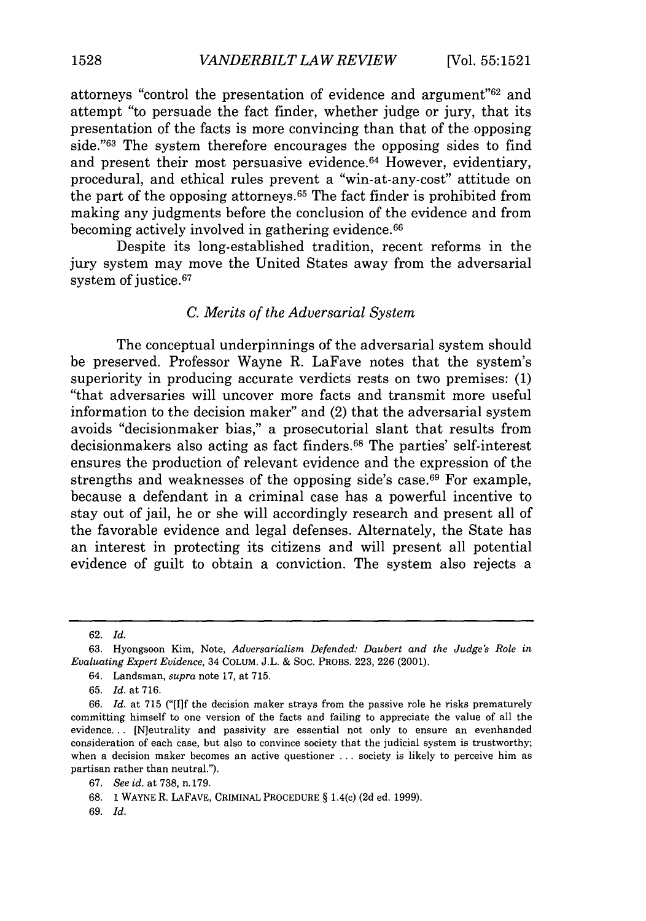attorneys "control the presentation of evidence and argument"<sup>62</sup> and attempt "to persuade the fact finder, whether judge or jury, that its presentation of the facts is more convincing than that of the opposing side."<sup>63</sup> The system therefore encourages the opposing sides to find and present their most persuasive evidence.<sup>64</sup> However, evidentiary, procedural, and ethical rules prevent a "win-at-any-cost" attitude on the part of the opposing attorneys. 65 The fact finder is prohibited from making any judgments before the conclusion of the evidence and from becoming actively involved in gathering evidence.<sup>66</sup>

Despite its long-established tradition, recent reforms in the jury system may move the United States away from the adversarial system of justice.<sup>67</sup>

#### *C. Merits of the Adversarial System*

The conceptual underpinnings of the adversarial system should be preserved. Professor Wayne R. LaFave notes that the system's superiority in producing accurate verdicts rests on two premises: (1) "that adversaries will uncover more facts and transmit more useful information to the decision maker" and (2) that the adversarial system avoids "decisionmaker bias," a prosecutorial slant that results from decisionmakers also acting as fact finders. 68 The parties' self-interest ensures the production of relevant evidence and the expression of the strengths and weaknesses of the opposing side's case. $69$  For example, because a defendant in a criminal case has a powerful incentive to stay out of jail, he or she will accordingly research and present all of the favorable evidence and legal defenses. Alternately, the State has an interest in protecting its citizens and will present all potential evidence of guilt to obtain a conviction. The system also rejects a

69. *Id.*

<sup>62.</sup> *Id.*

<sup>63.</sup> Hyongsoon Kim, Note, *Adversarialism Defended: Daubert and the Judge's Role in Evaluating Expert Evidence,* 34 COLUM. J.L. & SOC. PROBS. 223, 226 (2001).

<sup>64.</sup> Landsman, *supra* note 17, at 715.

<sup>65.</sup> *Id.* at 716.

<sup>66.</sup> *Id.* at 715 ("[11f the decision maker strays from the passive role he risks prematurely committing himself to one version of the facts and failing to appreciate the value of all the evidence... [N]eutrality and passivity are essential not only to ensure an evenhanded consideration of each case, but also to convince society that the judicial system is trustworthy; when a decision maker becomes an active questioner ... society is likely to perceive him as partisan rather than neutral.").

<sup>67.</sup> *See id.* at 738, n.179.

<sup>68.</sup> **1** WAYNE R. LAFAVE, CRIMINAL PROCEDURE § 1.4(c) (2d ed. 1999).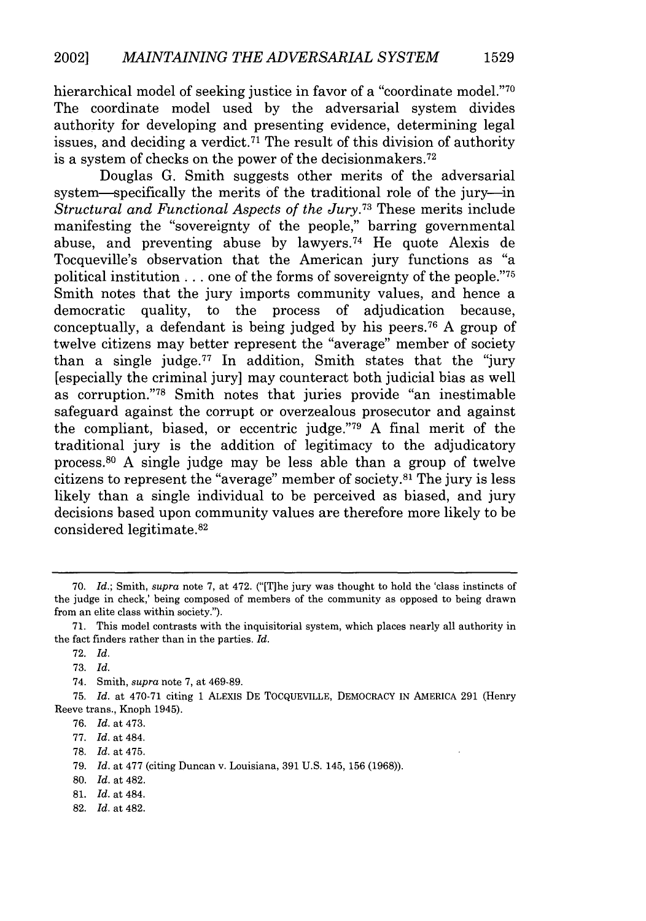hierarchical model of seeking justice in favor of a "coordinate model."<sup>70</sup> The coordinate model used by the adversarial system divides authority for developing and presenting evidence, determining legal issues, and deciding a verdict.<sup> $71$ </sup> The result of this division of authority is a system of checks on the power of the decisionmakers. <sup>72</sup>

Douglas G. Smith suggests other merits of the adversarial system—specifically the merits of the traditional role of the jury—in *Structural and Functional Aspects of the Jury.73* These merits include manifesting the "sovereignty of the people," barring governmental abuse, and preventing abuse by lawyers.74 He quote Alexis de Tocqueville's observation that the American jury functions as "a political institution **...** one of the forms of sovereignty of the people."75 Smith notes that the jury imports community values, and hence a democratic quality, to the process of adjudication because, conceptually, a defendant is being judged by his peers.76 A group of twelve citizens may better represent the "average" member of society than a single judge.<sup>77</sup> In addition, Smith states that the "jury" [especially the criminal jury] may counteract both judicial bias as well as corruption."78 Smith notes that juries provide "an inestimable safeguard against the corrupt or overzealous prosecutor and against the compliant, biased, or eccentric judge."79 A final merit of the traditional jury is the addition of legitimacy to the adjudicatory process.80 A single judge may be less able than a group of twelve citizens to represent the "average" member of society. $a^2$  The jury is less likely than a single individual to be perceived as biased, and jury decisions based upon community values are therefore more likely to be considered legitimate.<sup>82</sup>

75. *Id.* at 470-71 citing 1 ALEXIS DE TOCQUEVILLE, DEMOCRACY IN AMERICA 291 (Henry Reeve trans., Knoph 1945).

78. *Id.* at 475.

82. *Id.* at 482.

**1529**

<sup>70.</sup> *Id.;* Smith, *supra* note 7, at 472. ("[T]he jury was thought to hold the 'class instincts of the judge in check,' being composed of members of the community as opposed to being drawn from an elite class within society.").

<sup>71.</sup> This model contrasts with the inquisitorial system, which places nearly all authority in the fact finders rather than in the parties. *Id.*

<sup>72.</sup> *Id.*

<sup>73.</sup> *Id.*

<sup>74.</sup> Smith, *supra* note 7, at 469-89.

<sup>76.</sup> *Id.* at 473.

<sup>77.</sup> *Id.* at 484.

<sup>79.</sup> *Id.* at 477 (citing Duncan v. Louisiana, 391 U.S. 145, 156 (1968)).

<sup>80.</sup> *Id.* at 482.

<sup>81.</sup> *Id.* at 484.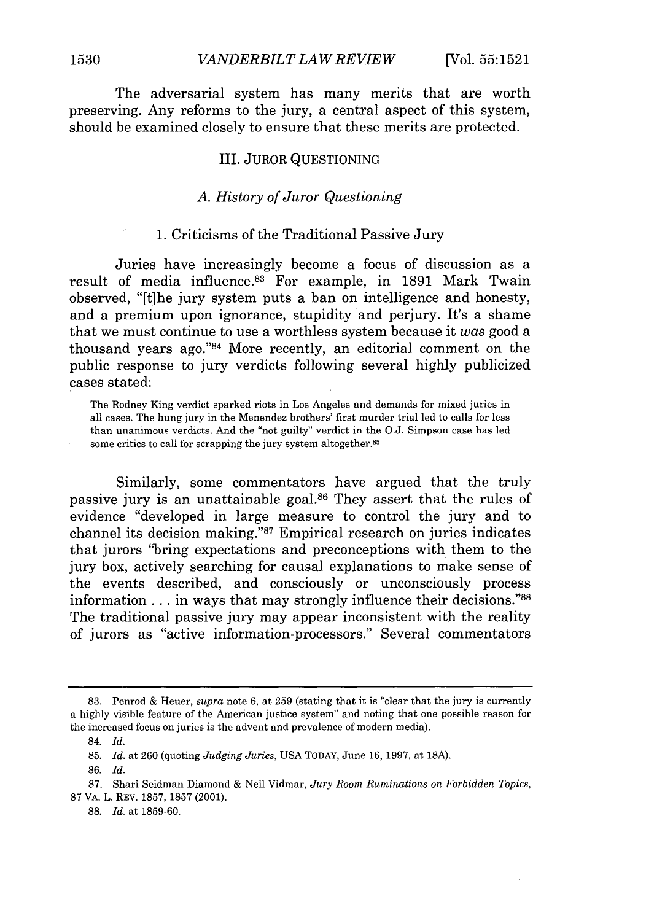The adversarial system has many merits that are worth preserving. Any reforms to the jury, a central aspect of this system, should be examined closely to ensure that these merits are protected.

#### III. JUROR QUESTIONING

#### *A. History of Juror Questioning*

#### 1. Criticisms of the Traditional Passive Jury

Juries have increasingly become a focus of discussion as a result of media influence.<sup>83</sup> For example, in 1891 Mark Twain observed, "[t]he jury system puts a ban on intelligence and honesty, and a premium upon ignorance, stupidity and perjury. It's a shame that we must continue to use a worthless system because it *was* good a thousand years ago." $84$  More recently, an editorial comment on the public response to jury verdicts following several highly publicized cases stated:

The Rodney King verdict sparked riots in Los Angeles and demands for mixed juries in all cases. The hung jury in the Menendez brothers' first murder trial led to calls for less than unanimous verdicts. And the "not guilty" verdict in the O.J. Simpson case has led some critics to call for scrapping the jury system altogether.<sup>85</sup>

Similarly, some commentators have argued that the truly passive jury is an unattainable goal.<sup>86</sup> They assert that the rules of evidence "developed in large measure to control the jury and to channel its decision making." $87$  Empirical research on juries indicates that jurors "bring expectations and preconceptions with them to the jury box, actively searching for causal explanations to make sense of the events described, and consciously or unconsciously process information . . . in ways that may strongly influence their decisions.<sup>"88</sup> The traditional passive jury may appear inconsistent with the reality of jurors as "active information-processors." Several commentators

<sup>83.</sup> Penrod & Heuer, *supra* note 6, at 259 (stating that it is "clear that the jury is currently a highly visible feature of the American justice system" and noting that one possible reason for the increased focus on juries is the advent and prevalence of modern media).

<sup>84.</sup> *Id.*

<sup>85.</sup> *Id.* at 260 (quoting *Judging Juries,* USA TODAY, June 16, 1997, at **18A).**

<sup>86.</sup> *Id.*

<sup>87.</sup> Shari Seidman Diamond & Neil Vidmar, *Jury Room Ruminations on Forbidden Topics,* 87 VA. L. REV. 1857, 1857 (2001).

<sup>88.</sup> *Id.* at 1859-60.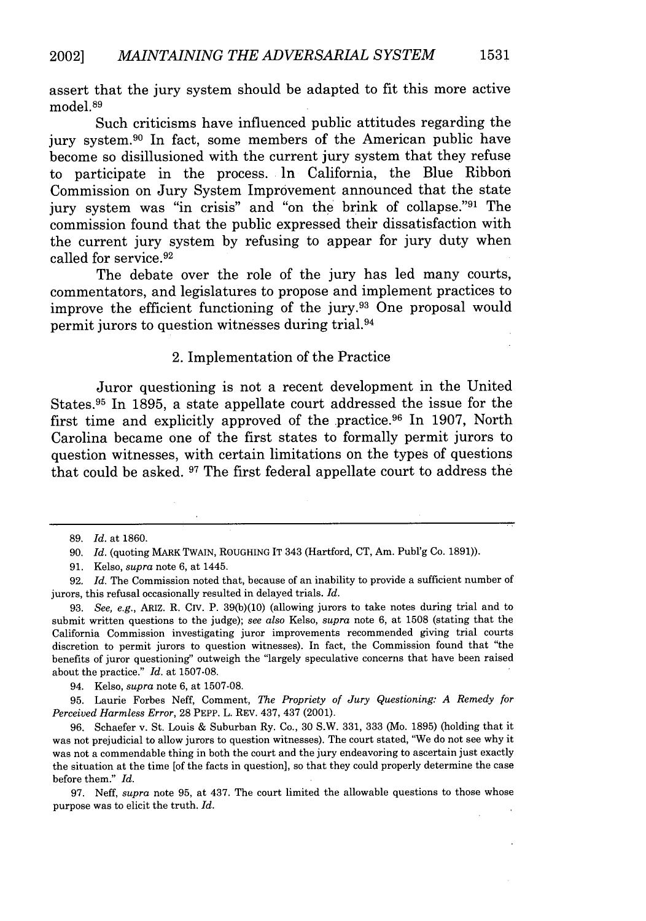assert that the jury system should be adapted to fit this more active model.<sup>89</sup>

Such criticisms have influenced public attitudes regarding the jury system.<sup>90</sup> In fact, some members of the American public have become so disillusioned with the current jury system that they refuse to participate in the process. In California, the Blue Ribbon Commission on Jury System Improvement announced that the state jury system was **"in** crisis" and "on the brink of collapse."91 The commission found that the public expressed their dissatisfaction with the current jury system **by** refusing to appear for jury duty when called for service. <sup>92</sup>

The debate over the role of the jury has led many courts, commentators, and legislatures to propose and implement practices to improve the efficient functioning of the jury.<sup>93</sup> One proposal would permit jurors to question witnesses during trial.94

#### 2. Implementation of the Practice

Juror questioning is not a recent development in the United States. 95 In **1895,** a state appellate court addressed the issue for the first time and explicitly approved of the practice.96 In **1907,** North Carolina became one of the first states to formally permit jurors to question witnesses, with certain limitations on the types of questions that could be asked. **97** The first federal appellate court to address the

94. Kelso, *supra* note **6,** at **1507-08.**

**95.** Laurie Forbes Neff, Comment, *The Propriety of Jury Questioning: A Remedy for Perceived Harmless Error,* **28** PEPP. L. REV. 437, 437 (2001).

**96.** Schaefer v. St. Louis **&** Suburban Ry. Co., **30** S.W. **331, 333** (Mo. **1895)** (holding that it was not prejudicial to allow jurors to question witnesses). The court stated, "We do not see why it was not a commendable thing in both the court and the jury endeavoring to ascertain just exactly the situation at the time [of the facts in question], so that they could properly determine the case before them." *Id.*

**97.** Neff, *supra* note **95,** at 437. The court limited the allowable questions to those whose purpose was to elicit the truth. *Id.*

**<sup>89.</sup>** *Id.* at **1860.**

**<sup>90.</sup>** *Id.* (quoting **MARK** TWAIN, ROUGHING IT 343 (Hartford, **CT,** Am. Publ'g Co. **1891)).**

**<sup>91.</sup>** Kelso, *supra* note **6,** at 1445.

**<sup>92.</sup>** *Id.* The Commission noted that, because of an inability to provide a sufficient number of jurors, this refusal occasionally resulted in delayed trials. *Id.*

**<sup>93.</sup>** *See, e.g.,* ARIZ. R. Civ. P. **39(b)(10)** (allowing jurors to take notes during trial and to submit written questions to the judge); *see also* Kelso, *supra* note **6,** at **1508** (stating that the California Commission investigating juror improvements recommended giving trial courts discretion to permit jurors to question witnesses). In fact, the Commission found that "the benefits of juror questioning" outweigh the "largely speculative concerns that have been raised about the practice." *Id.* at **1507-08.**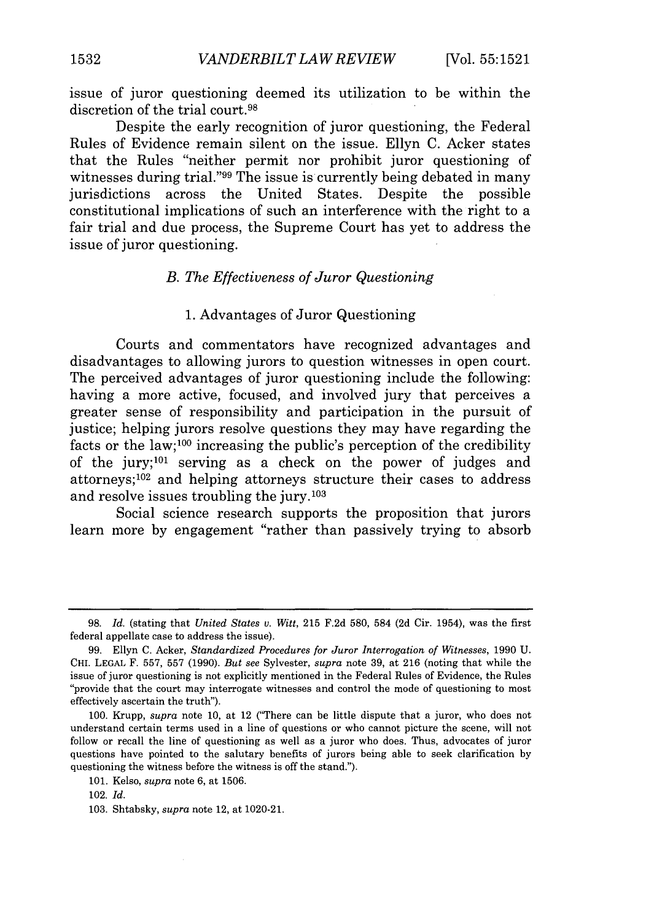issue of juror questioning deemed its utilization to be within the discretion of the trial court.<sup>98</sup>

Despite the early recognition of juror questioning, the Federal Rules of Evidence remain silent on the issue. Ellyn C. Acker states that the Rules "neither permit nor prohibit juror questioning of witnesses during trial."99 The issue is currently being debated in many jurisdictions across the United States. Despite the possible constitutional implications of such an interference with the right to a fair trial and due process, the Supreme Court has yet to address the issue of juror questioning.

#### *B. The Effectiveness of Juror Questioning*

#### 1. Advantages of Juror Questioning

Courts and commentators have recognized advantages and disadvantages to allowing jurors to question witnesses in open court. The perceived advantages of juror questioning include the following: having a more active, focused, and involved jury that perceives a greater sense of responsibility and participation in the pursuit of justice; helping jurors resolve questions they may have regarding the facts or the law;100 increasing the public's perception of the credibility of the jury;<sup>101</sup> serving as a check on the power of judges and attorneys; $102$  and helping attorneys structure their cases to address and resolve issues troubling the jury. $103$ 

Social science research supports the proposition that jurors learn more by engagement "rather than passively trying to absorb

<sup>98.</sup> *Id.* (stating that *United States v. Witt,* 215 F.2d 580, 584 (2d Cir. 1954), was the first federal appellate case to address the issue).

<sup>99.</sup> Ellyn C. Acker, *Standardized Procedures for Juror Interrogation of Witnesses,* 1990 U. CHI. **LEGAL** F. 557, 557 (1990). *But see* Sylvester, *supra* note 39, at 216 (noting that while the issue of juror questioning is not explicitly mentioned in the Federal Rules of Evidence, the Rules "provide that the court may interrogate witnesses and control the mode of questioning to most effectively ascertain the truth").

<sup>100.</sup> Krupp, *supra* note 10, at 12 ("There can be little dispute that a juror, who does not understand certain terms used in a line of questions or who cannot picture the scene, will not follow or recall the line of questioning as well as a juror who does. Thus, advocates of juror questions have pointed to the salutary benefits of jurors being able to seek clarification **by** questioning the witness before the witness is off the stand.").

<sup>101.</sup> Kelso, *supra* note 6, at 1506.

<sup>102.</sup> *Id.*

<sup>103.</sup> Shtabsky, *supra* note 12, at 1020-21.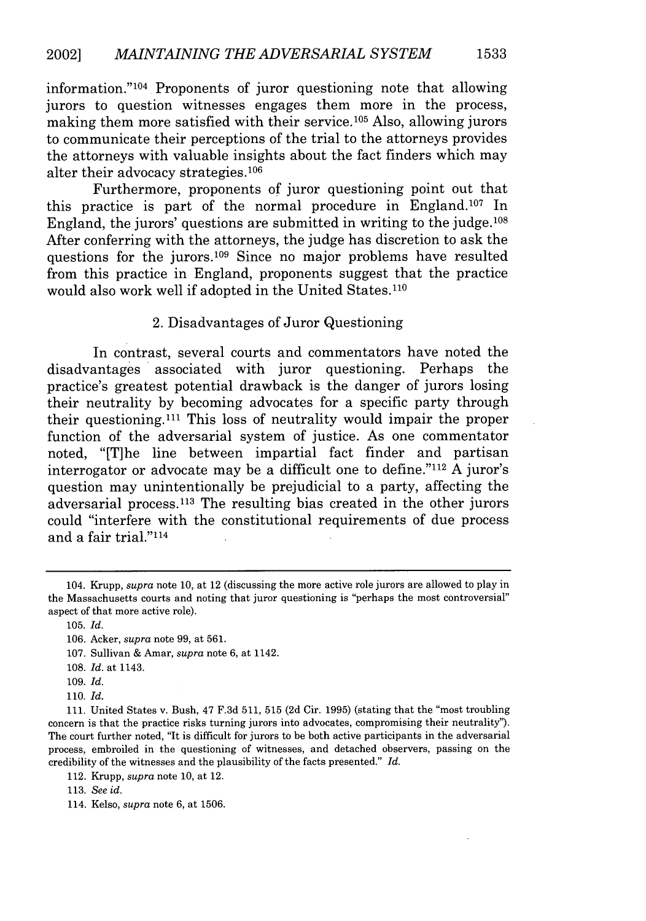information." 104 Proponents of juror questioning note that allowing jurors to question witnesses engages them more in the process, making them more satisfied with their service.<sup>105</sup> Also, allowing jurors to communicate their perceptions of the trial to the attorneys provides the attorneys with valuable insights about the fact finders which may alter their advocacy strategies.<sup>106</sup>

Furthermore, proponents of juror questioning point out that this practice is part of the normal procedure in England.<sup>107</sup> In England, the jurors' questions are submitted in writing to the judge.108 After conferring with the attorneys, the judge has discretion to ask the questions for the jurors.<sup>109</sup> Since no major problems have resulted from this practice in England, proponents suggest that the practice would also work well if adopted in the United States. <sup>110</sup>

2. Disadvantages of Juror Questioning

In contrast, several courts and commentators have noted the disadvantages associated with juror questioning. Perhaps the practice's greatest potential drawback is the danger of jurors losing their neutrality by becoming advocates for a specific party through their questioning.<sup>111</sup> This loss of neutrality would impair the proper function of the adversarial system of justice. As one commentator noted, "[T]he line between impartial fact finder and partisan interrogator or advocate may be a difficult one to define."112 A juror's question may unintentionally be prejudicial to a party, affecting the adversarial process. 113 The resulting bias created in the other jurors could "interfere with the constitutional requirements of due process and a fair trial."114

- 108. *Id.* at 1143.
- 109. *Id.*

110. *Id.*

<sup>104.</sup> Krupp, *supra* note 10, at 12 (discussing the more active role jurors are allowed to play in the Massachusetts courts and noting that juror questioning is "perhaps the most controversial" aspect of that more active role).

<sup>105.</sup> *Id.*

<sup>106.</sup> Acker, *supra* note 99, at 561.

<sup>107.</sup> Sullivan & Amar, *supra* note 6, at 1142.

**<sup>111.</sup>** United States v. Bush, 47 F.3d 511, 515 (2d Cir. 1995) (stating that the "most troubling concern is that the practice risks turning jurors into advocates, compromising their neutrality"). The court further noted, "It is difficult for jurors to be both active participants in the adversarial process, embroiled in the questioning of witnesses, and detached observers, passing on the credibility of the witnesses and the plausibility of the facts presented." *Id.*

<sup>112.</sup> Krupp, *supra* note 10, at 12.

<sup>113.</sup> *See id.*

<sup>114.</sup> Kelso, *supra* note 6, at 1506.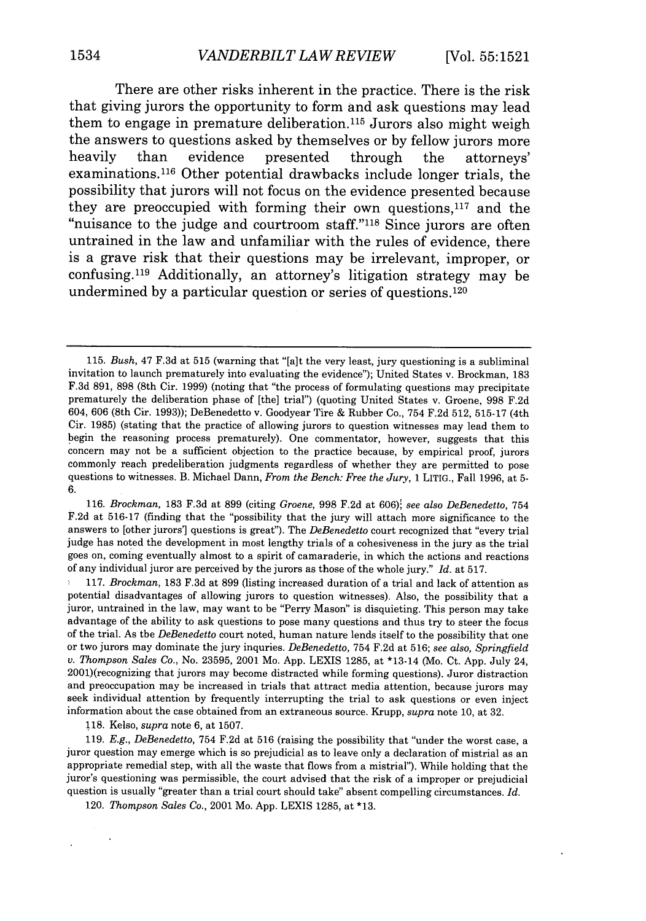There are other risks inherent in the practice. There is the risk that giving jurors the opportunity to form and ask questions may lead them to engage in premature deliberation. 115 Jurors also might weigh the answers to questions asked by themselves or by fellow jurors more heavily than evidence presented through the attorneys' examinations. 116 Other potential drawbacks include longer trials, the possibility that jurors will not focus on the evidence presented because they are preoccupied with forming their own questions, $117$  and the "nuisance to the judge and courtroom staff."118 Since jurors are often untrained in the law and unfamiliar with the rules of evidence, there is a grave risk that their questions may be irrelevant, improper, or confusing. 119 Additionally, an attorney's litigation strategy may be undermined by a particular question or series of questions. $120$ 

116. *Brockman*, 183 F.3d at 899 (citing *Groene*, 998 F.2d at 606); see also *DeBenedetto*, 754 F.2d at 516-17 (finding that the "possibility that the jury will attach more significance to the answers to [other jurors'] questions is great"). The *DeBenedetto* court recognized that "every trial judge has noted the development in most lengthy trials of a cohesiveness in the jury as the trial goes on, coming eventually almost to a spirit of camaraderie, in which the actions and reactions of any individual juror are perceived by the jurors as those of the whole jury." *Id.* at 517.

117. *Brockman,* 183 F.3d at 899 (listing increased duration of a trial and lack of attention as potential disadvantages of allowing jurors to question witnesses). Also, the possibility that a juror, untrained in the law, may want to be "Perry Mason" is disquieting. This person may take advantage of the ability to ask questions to pose many questions and thus try to steer the focus of the trial. As the *DeBenedetto* court noted, human nature lends itself to the possibility that one or two jurors may dominate the jury inquries. *DeBenedetto,* 754 F.2d at 516; *see also, Springfield v. Thompson Sales Co.,* No. 23595, 2001 Mo. App. LEXIS 1285, at \*13-14 (Mo. Ct. App. July 24, 2001)(recognizing that jurors may become distracted while forming questions). Juror distraction and preoccupation may be increased in trials that attract media attention, because jurors may seek individual attention by frequently interrupting the trial to ask questions or even inject information about the case obtained from an extraneous source. Krupp, *supra* note 10, at 32.

118. Kelso, *supra* note 6, at 1507.

119. *E.g., DeBenedetto,* 754 F.2d at 516 (raising the possibility that "under the worst case, a juror question may emerge which is so prejudicial as to leave only a declaration of mistrial as an appropriate remedial step, with all the waste that flows from a mistrial"). While holding that the juror's questioning was permissible, the court advised that the risk of a improper or prejudicial question is usually "greater than a trial court should take" absent compelling circumstances. *Id.*

120. *Thompson Sales Co.,* 2001 Mo. App. LEXIS 1285, at \*13.

<sup>115.</sup> *Bush,* 47 F.3d at 515 (warning that "[a]t the very least, jury questioning is a subliminal invitation to launch prematurely into evaluating the evidence"); United States v. Brockman, 183 F.3d 891, 898 (8th Cir. 1999) (noting that "the process of formulating questions may precipitate prematurely the deliberation phase of [the] trial") (quoting United States v. Groene, 998 F.2d 604, 606 (8th Cir. 1993)); DeBenedetto v. Goodyear Tire & Rubber Co., 754 F.2d 512, 515-17 (4th Cir. 1985) (stating that the practice of allowing jurors to question witnesses may lead them to begin the reasoning process prematurely). One commentator, however, suggests that this concern may not be a sufficient objection to the practice because, by empirical proof, jurors commonly reach predeliberation judgments regardless of whether they are permitted to pose questions to witnesses. B. Michael Dann, *From the Bench: Free the Jury,* 1 LITIG., Fall 1996, at **5-** 6.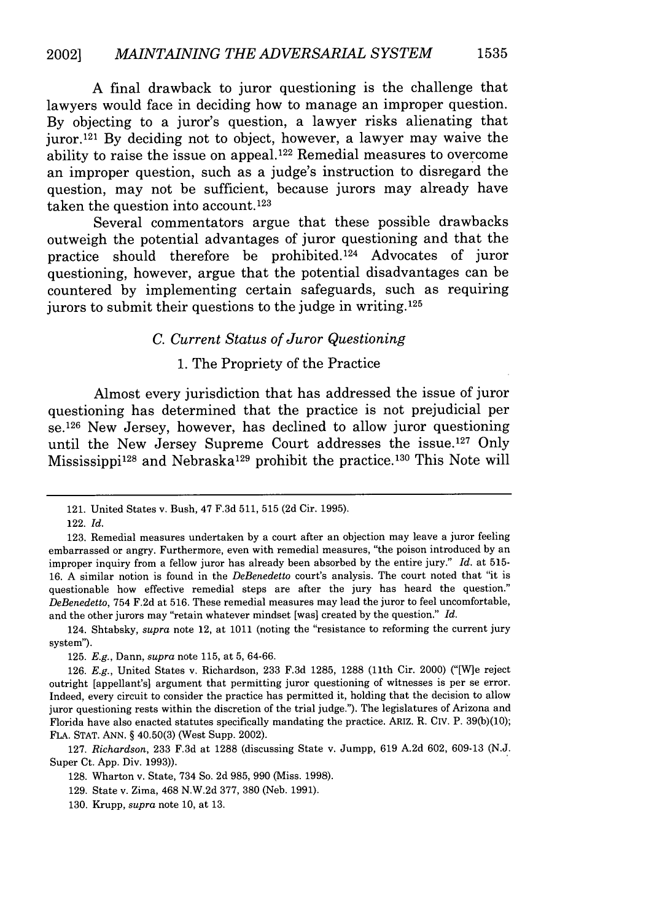A final drawback to juror questioning is the challenge that lawyers would face in deciding how to manage an improper question. By objecting to a juror's question, a lawyer risks alienating that juror. 121 By deciding not to object, however, a lawyer may waive the ability to raise the issue on appeal. 122 Remedial measures to overcome an improper question, such as a judge's instruction to disregard the question, may not be sufficient, because jurors may already have taken the question into account.<sup>123</sup>

Several commentators argue that these possible drawbacks outweigh the potential advantages of juror questioning and that the practice should therefore be prohibited. 124 Advocates of juror questioning, however, argue that the potential disadvantages can be countered by implementing certain safeguards, such as requiring jurors to submit their questions to the judge in writing.  $125$ 

#### *C. Current Status of Juror Questioning*

#### 1. The Propriety of the Practice

Almost every jurisdiction that has addressed the issue of juror questioning has determined that the practice is not prejudicial per se. 126 New Jersey, however, has declined to allow juror questioning until the New Jersey Supreme Court addresses the issue.<sup>127</sup> Only Mississippi<sup>128</sup> and Nebraska<sup>129</sup> prohibit the practice.<sup>130</sup> This Note will

<sup>121.</sup> United States v. Bush, 47 F.3d 511, 515 (2d Cir. 1995).

<sup>122.</sup> *Id.*

<sup>123.</sup> Remedial measures undertaken by a court after an objection may leave a juror feeling embarrassed or angry. Furthermore, even with remedial measures, "the poison introduced by an improper inquiry from a fellow juror has already been absorbed by the entire jury." *Id.* at 515- 16. A similar notion is found in the *DeBenedetto* court's analysis. The court noted that "it is questionable how effective remedial steps are after the jury has heard the question." *DeBenedetto,* 754 F.2d at 516. These remedial measures may lead the juror to feel uncomfortable, and the other jurors may "retain whatever mindset [was] created by the question." *Id.*

<sup>124.</sup> Shtabsky, *supra* note 12, at 1011 (noting the "resistance to reforming the current jury system").

<sup>125.</sup> *E.g.,* Dann, *supra* note 115, at 5, 64-66.

<sup>126.</sup> *E.g.,* United States v. Richardson, 233 F.3d 1285, 1288 (l1th Cir. 2000) ("[W]e reject outright [appellant's] argument that permitting juror questioning of witnesses is per se error. Indeed, every circuit to consider the practice has permitted it, holding that the decision to allow juror questioning rests within the discretion of the trial judge."). The legislatures of Arizona and Florida have also enacted statutes specifically mandating the practice. ARIZ. R. CIV. P. 39(b)(10); FLA. STAT. ANN. § 40.50(3) (West Supp. 2002).

<sup>127.</sup> *Richardson,* 233 F.3d at 1288 (discussing State v. Jumpp, 619 A.2d 602, 609-13 (N.J. Super Ct. App. Div. 1993)).

<sup>128.</sup> Wharton v. State, 734 So. 2d 985, 990 (Miss. 1998).

<sup>129.</sup> State v. Zima, 468 N.W.2d 377, 380 (Neb. 1991).

<sup>130.</sup> Krupp, *supra* note 10, at 13.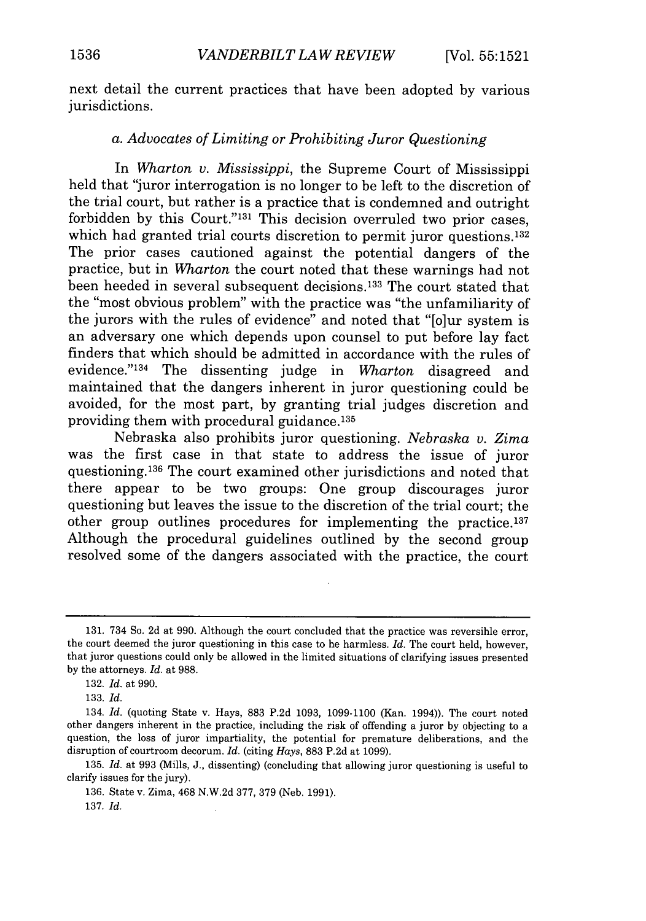next detail the current practices that have been adopted by various jurisdictions.

#### *a. Advocates of Limiting or Prohibiting Juror Questioning*

In *Wharton v. Mississippi,* the Supreme Court of Mississippi held that "juror interrogation is no longer to be left to the discretion of the trial court, but rather is a practice that is condemned and outright forbidden by this Court."<sup>131</sup> This decision overruled two prior cases. which had granted trial courts discretion to permit juror questions.<sup>132</sup> The prior cases cautioned against the potential dangers of the practice, but in *Wharton* the court noted that these warnings had not been heeded in several subsequent decisions. 133 The court stated that the "most obvious problem" with the practice was "the unfamiliarity of the jurors with the rules of evidence" and noted that "[o]ur system is an adversary one which depends upon counsel to put before lay fact finders that which should be admitted in accordance with the rules of evidence." 134 The dissenting judge in *Wharton* disagreed and maintained that the dangers inherent in juror questioning could be avoided, for the most part, by granting trial judges discretion and providing them with procedural guidance. <sup>135</sup>

Nebraska also prohibits juror questioning. *Nebraska v. Zima* was the first case in that state to address the issue of juror questioning.<sup>136</sup> The court examined other jurisdictions and noted that there appear to be two groups: One group discourages juror questioning but leaves the issue to the discretion of the trial court; the other group outlines procedures for implementing the practice.<sup>137</sup> Although the procedural guidelines outlined by the second group resolved some of the dangers associated with the practice, the court

135. *Id.* at 993 (Mills, J., dissenting) (concluding that allowing juror questioning is useful to clarify issues for the jury).

136. State v. Zima, 468 N.W.2d 377, 379 (Neb. 1991).

137. *Id.*

<sup>131. 734</sup> So. 2d at 990. Although the court concluded that the practice was reversible error, the court deemed the juror questioning in this case to be harmless. *Id.* The court held, however, that juror questions could only be allowed in the limited situations of clarifying issues presented by the attorneys. *Id.* at 988.

<sup>132.</sup> *Id.* at 990.

<sup>133.</sup> *Id.*

<sup>134.</sup> *Id.* (quoting State v. Hays, 883 P.2d 1093, 1099-1100 (Kan. 1994)). The court noted other dangers inherent in the practice, including the risk of offending a juror by objecting to a question, the loss of juror impartiality, the potential for premature deliberations, and the disruption of courtroom decorum. *Id.* (citing *Hays,* 883 P.2d at 1099).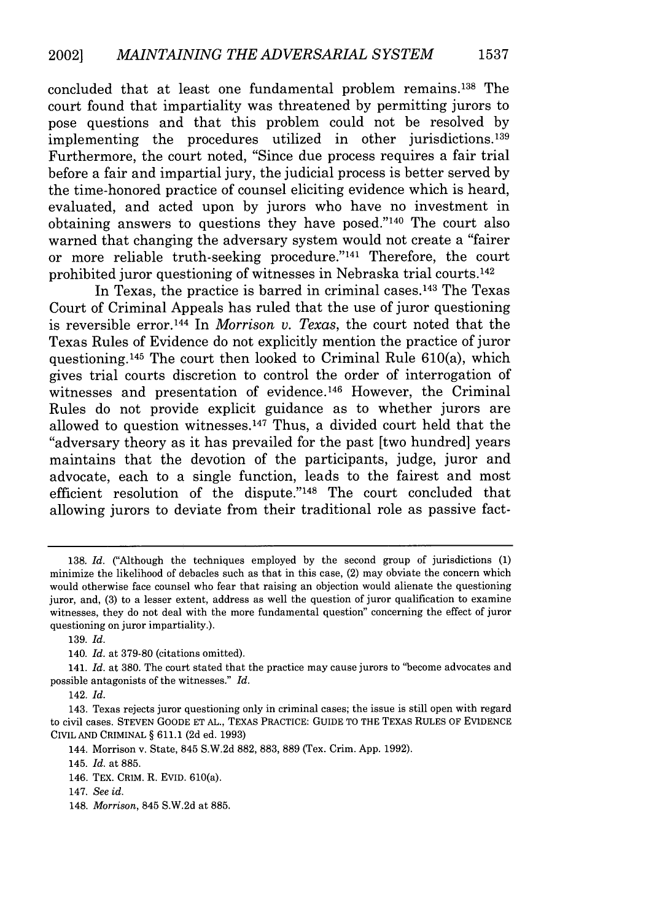concluded that at least one fundamental problem remains. 138 The court found that impartiality was threatened by permitting jurors to pose questions and that this problem could not be resolved by implementing the procedures utilized in other jurisdictions.<sup>139</sup> Furthermore, the court noted, "Since due process requires a fair trial before a fair and impartial jury, the judicial process is better served by the time-honored practice of counsel eliciting evidence which is heard, evaluated, and acted upon by jurors who have no investment in obtaining answers to questions they have posed." $140$  The court also warned that changing the adversary system would not create a "fairer or more reliable truth-seeking procedure."<sup>141</sup> Therefore, the court prohibited juror questioning of witnesses in Nebraska trial courts. <sup>142</sup>

In Texas, the practice is barred in criminal cases. 143 The Texas Court of Criminal Appeals has ruled that the use of juror questioning is reversible error.<sup>144</sup> In *Morrison v. Texas*, the court noted that the Texas Rules of Evidence do not explicitly mention the practice of juror questioning.145 The court then looked to Criminal Rule 610(a), which gives trial courts discretion to control the order of interrogation of witnesses and presentation of evidence.<sup>146</sup> However, the Criminal Rules do not provide explicit guidance as to whether jurors are allowed to question witnesses. 47 Thus, a divided court held that the "adversary theory as it has prevailed for the past [two hundred] years maintains that the devotion of the participants, judge, juror and advocate, each to a single function, leads to the fairest and most efficient resolution of the dispute."<sup>148</sup> The court concluded that allowing jurors to deviate from their traditional role as passive fact-

<sup>138.</sup> *Id.* ("Although the techniques employed by the second group of jurisdictions (1) minimize the likelihood of debacles such as that in this case, (2) may obviate the concern which would otherwise face counsel who fear that raising an objection would alienate the questioning juror, and, (3) to a lesser extent, address as well the question of juror qualification to examine witnesses, they do not deal with the more fundamental question" concerning the effect of juror questioning on juror impartiality.).

<sup>139.</sup> *Id.*

<sup>140.</sup> *Id.* at 379-80 (citations omitted).

<sup>141.</sup> *Id.* at 380. The court stated that the practice may cause jurors to "become advocates and possible antagonists of the witnesses." *Id.*

<sup>142.</sup> *Id.*

<sup>143.</sup> Texas rejects juror questioning only in criminal cases; the issue is still open with regard to civil cases. **STEVEN GOODE ET AL.,** TEXAS PRACTICE: GUIDE TO THE **TEXAS RULES** OF **EVIDENCE** CIVIL **AND** CRIMINAL § 611.1 (2d ed. 1993)

<sup>144.</sup> Morrison v. State, 845 S.W.2d 882, 883, 889 (Tex. Crim. App. 1992).

<sup>145.</sup> *Id.* at 885.

<sup>146.</sup> TEX. CRIM. R. **EVID.** 610(a).

<sup>147.</sup> *See id.*

<sup>148.</sup> *Morrison,* 845 S.W.2d at 885.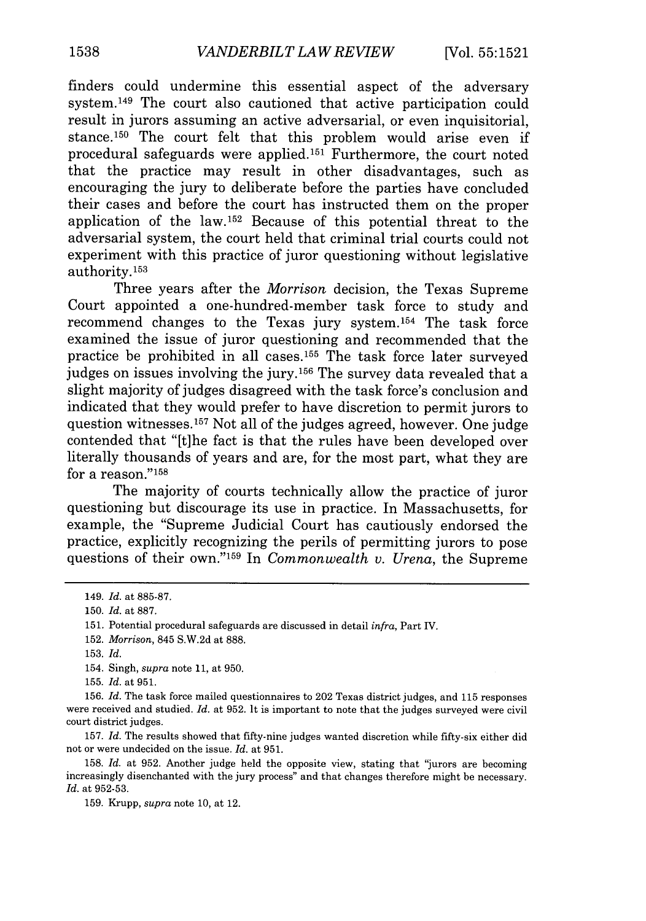finders could undermine this essential aspect of the adversary system.149 The court also cautioned that active participation could result in jurors assuming an active adversarial, or even inquisitorial, stance.150 The court felt that this problem would arise even if procedural safeguards were applied. 151 Furthermore, the court noted that the practice may result in other disadvantages, such as encouraging the jury to deliberate before the parties have concluded their cases and before the court has instructed them on the proper application of the law. 152 Because of this potential threat to the adversarial system, the court held that criminal trial courts could not experiment with this practice of juror questioning without legislative authority. <sup>153</sup>

Three years after the *Morrison* decision, the Texas Supreme Court appointed a one-hundred-member task force to study and recommend changes to the Texas jury system. 154 The task force examined the issue of juror questioning and recommended that the practice be prohibited in all cases.<sup>155</sup> The task force later surveyed judges on issues involving the jury.156 The survey data revealed that a slight majority of judges disagreed with the task force's conclusion and indicated that they would prefer to have discretion to permit jurors to question witnesses. 157 Not all of the judges agreed, however. One judge contended that "[t]he fact is that the rules have been developed over literally thousands of years and are, for the most part, what they are for a reason."<sup>158</sup>

The majority of courts technically allow the practice of juror questioning but discourage its use in practice. In Massachusetts, for example, the "Supreme Judicial Court has cautiously endorsed the practice, explicitly recognizing the perils of permitting jurors to pose questions of their own."159 In *Commonwealth v. Urena,* the Supreme

<sup>149.</sup> *Id.* at 885-87.

<sup>150.</sup> *Id.* at 887.

<sup>151.</sup> Potential procedural safeguards are discussed in detail *infra,* Part IV.

<sup>152.</sup> *Morrison,* 845 S.W.2d at 888.

<sup>153.</sup> *Id.*

<sup>154.</sup> Singh, *supra* note 11, at 950.

<sup>155.</sup> *Id.* at 951.

<sup>156.</sup> *Id.* The task force mailed questionnaires to 202 Texas district judges, and 115 responses were received and studied. *Id.* at 952. It is important to note that the judges surveyed were civil court district judges.

<sup>157.</sup> *Id.* The results showed that fifty-nine judges wanted discretion while fifty-six either did not or were undecided on the issue. *Id.* at 951.

<sup>158.</sup> *Id.* at 952. Another judge held the opposite view, stating that "jurors are becoming increasingly disenchanted with the jury process" and that changes therefore might be necessary. *Id.* at 952-53.

<sup>159.</sup> Krupp, *supra* note 10, at 12.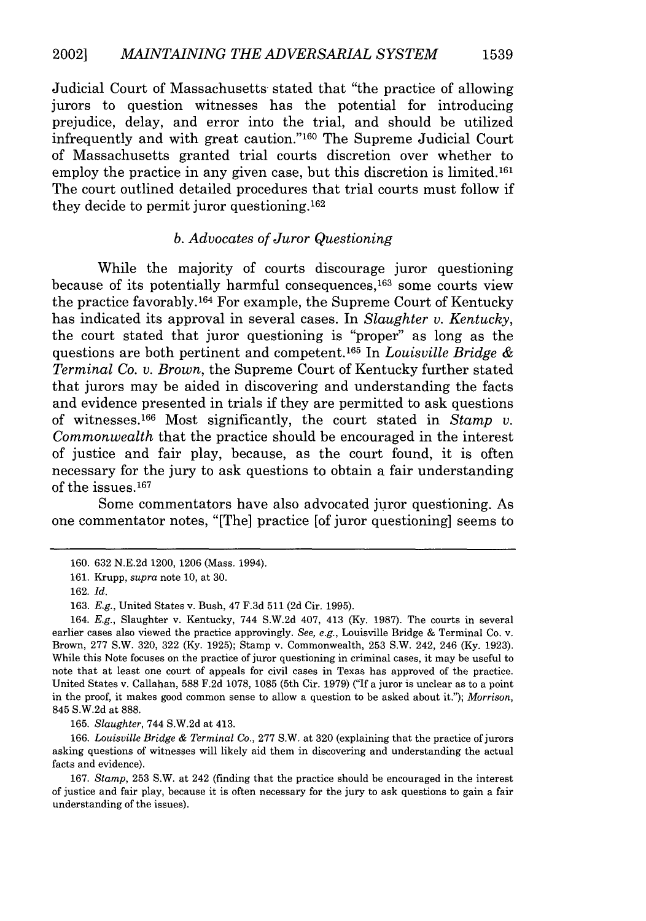Judicial Court of Massachusetts stated that "the practice of allowing jurors to question witnesses has the potential for introducing prejudice, delay, and error into the trial, and should be utilized infrequently and with great caution."<sup>160</sup> The Supreme Judicial Court of Massachusetts granted trial courts discretion over whether to employ the practice in any given case, but this discretion is limited.<sup>161</sup> The court outlined detailed procedures that trial courts must follow if they decide to permit juror questioning. <sup>162</sup>

#### *b. Advocates of Juror Questioning*

While the majority of courts discourage juror questioning because of its potentially harmful consequences,<sup>163</sup> some courts view the practice favorably. 164 For example, the Supreme Court of Kentucky has indicated its approval in several cases. In *Slaughter v. Kentucky,* the court stated that juror questioning is "proper" as long as the questions are both pertinent and competent. 65 In *Louisville Bridge & Terminal Co. v. Brown,* the Supreme Court of Kentucky further stated that jurors may be aided in discovering and understanding the facts and evidence presented in trials if they are permitted to ask questions of witnesses. 166 Most significantly, the court stated in *Stamp v. Commonwealth* that the practice should be encouraged in the interest of justice and fair play, because, as the court found, it is often necessary for the jury to ask questions to obtain a fair understanding of the issues. $167$ 

Some commentators have also advocated juror questioning. As one commentator notes, "[The] practice [of juror questioning] seems to

165. *Slaughter,* 744 S.W.2d at 413.

166. *Louisville Bridge & Terminal* Co., 277 S.W. at 320 (explaining that the practice of jurors asking questions of witnesses will likely aid them in discovering and understanding the actual facts and evidence).

167. *Stamp,* 253 S.W. at 242 (finding that the practice should be encouraged in the interest of justice and fair play, because it is often necessary for the jury to ask questions to gain a fair understanding of the issues).

<sup>160. 632</sup> N.E.2d 1200, 1206 (Mass. 1994).

<sup>161.</sup> Krupp, *supra* note 10, at 30.

<sup>162.</sup> *Id.*

<sup>163.</sup> *E.g.,* United States v. Bush, 47 F.3d 511 (2d Cir. 1995).

<sup>164.</sup> *E.g.,* Slaughter v. Kentucky, 744 S.W.2d 407, 413 (Ky. 1987). The courts in several earlier cases also viewed the practice approvingly. *See, e.g.,* Louisville Bridge & Terminal Co. v. Brown, 277 S.W. 320, 322 (Ky. 1925); Stamp v. Commonwealth, 253 S.W. 242, 246 (Ky. 1923). While this Note focuses on the practice of juror questioning in criminal cases, it may be useful to note that at least one court of appeals for civil cases in Texas has approved of the practice. United States v. Callahan, 588 F.2d 1078, 1085 (5th Cir. 1979) ("If a juror is unclear as to a point in the proof, it makes good common sense to allow a question to be asked about it."); *Morrison,* 845 S.W.2d at 888.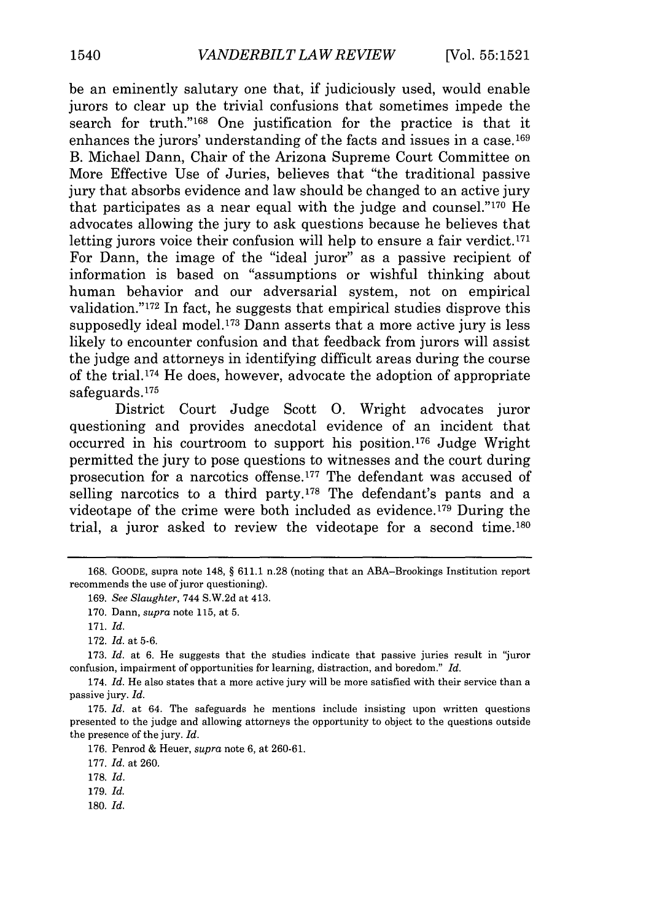be an eminently salutary one that, if judiciously used, would enable jurors to clear up the trivial confusions that sometimes impede the search for truth."168 One justification for the practice is that it enhances the jurors' understanding of the facts and issues in a case.<sup>169</sup> B. Michael Dann, Chair of the Arizona Supreme Court Committee on More Effective Use of Juries, believes that "the traditional passive jury that absorbs evidence and law should be changed to an active jury that participates as a near equal with the judge and counsel."'170 He advocates allowing the jury to ask questions because he believes that letting jurors voice their confusion will help to ensure a fair verdict.<sup>171</sup> For Dann, the image of the "ideal juror" as a passive recipient of information is based on "assumptions or wishful thinking about human behavior and our adversarial system, not on empirical validation." $172$  In fact, he suggests that empirical studies disprove this supposedly ideal model.<sup>173</sup> Dann asserts that a more active jury is less likely to encounter confusion and that feedback from jurors will assist the judge and attorneys in identifying difficult areas during the course of the trial. 174 He does, however, advocate the adoption of appropriate safeguards. <sup>175</sup>

District Court Judge Scott **0.** Wright advocates juror questioning and provides anecdotal evidence of an incident that occurred in his courtroom to support his position.<sup>176</sup> Judge Wright permitted the jury to pose questions to witnesses and the court during prosecution for a narcotics offense. 177 The defendant was accused of selling narcotics to a third party. $178$  The defendant's pants and a videotape of the crime were both included as evidence. 179 During the trial, a juror asked to review the videotape for a second time.180

172. *Id.* at 5-6.

173. *Id.* at 6. He suggests that the studies indicate that passive juries result in "juror confusion, impairment of opportunities for learning, distraction, and boredom." *Id.*

174. *Id.* He also states that a more active jury will be more satisfied with their service than a passive jury. *Id.*

175. *Id.* at 64. The safeguards he mentions include insisting upon written questions presented to the judge and allowing attorneys the opportunity to object to the questions outside the presence of the jury. *Id.*

176. Penrod & Heuer, *supra* note 6, at 260-61.

177. *Id.* at 260.

178. *Id.*

179. *Id.*

180. *Id.*

<sup>168.</sup> GOODE, supra note 148, § 611.1 n.28 (noting that an ABA-Brookings Institution report recommends the use of juror questioning).

<sup>169.</sup> *See Slaughter,* 744 S.W.2d at 413.

<sup>170.</sup> Dann, *supra* note 115, at 5.

<sup>171.</sup> *Id.*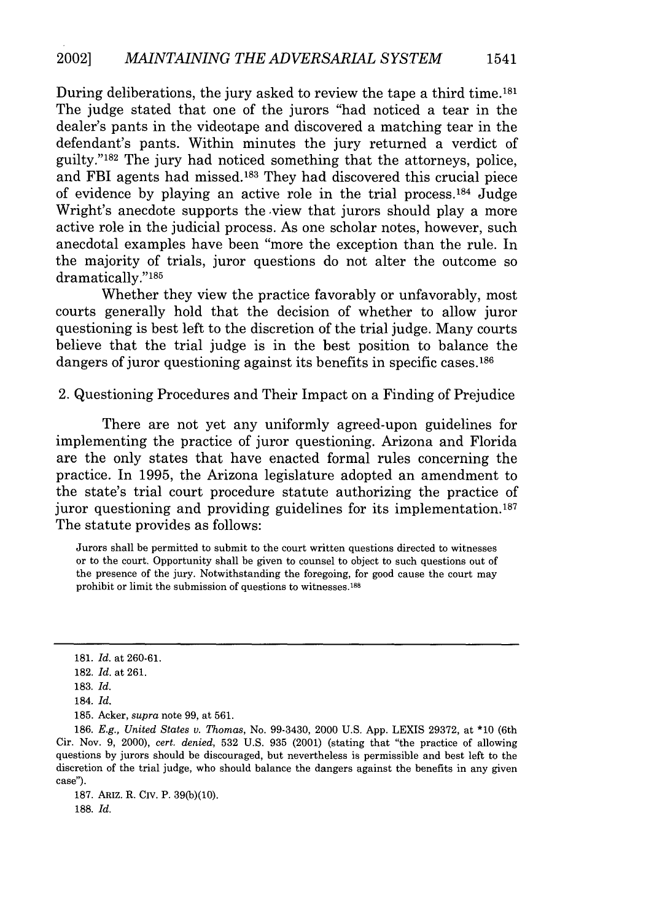During deliberations, the jury asked to review the tape a third time.181 The judge stated that one of the jurors "had noticed a tear in the dealer's pants in the videotape and discovered a matching tear in the defendant's pants. Within minutes the jury returned a verdict of guilty."<sup>182</sup> The jury had noticed something that the attorneys, police, and FBI agents had missed.183 They had discovered this crucial piece of evidence by playing an active role in the trial process.<sup>184</sup> Judge Wright's anecdote supports the view that jurors should play a more active role in the judicial process. As one scholar notes, however, such anecdotal examples have been "more the exception than the rule. In the majority of trials, juror questions do not alter the outcome so dramatically."185

Whether they view the practice favorably or unfavorably, most courts generally hold that the decision of whether to allow juror questioning is best left to the discretion of the trial judge. Many courts believe that the trial judge is in the best position to balance the dangers of juror questioning against its benefits in specific cases.<sup>186</sup>

2. Questioning Procedures and Their Impact on a Finding of Prejudice

There are not yet any uniformly agreed-upon guidelines for implementing the practice of juror questioning. Arizona and Florida are the only states that have enacted formal rules concerning the practice. In 1995, the Arizona legislature adopted an amendment to the state's trial court procedure statute authorizing the practice of juror questioning and providing guidelines for its implementation.<sup>187</sup> The statute provides as follows:

Jurors shall be permitted to submit to the court written questions directed to witnesses or to the court. Opportunity shall be given to counsel to object to such questions out of the presence of the jury. Notwithstanding the foregoing, for good cause the court may prohibit or limit the submission of questions to witnesses. **<sup>8</sup> 8**

185. Acker, *supra* note 99, at 561.

186. *E.g., United States v. Thomas,* No. 99-3430, 2000 U.S. App. LEXIS 29372, at \*10 (6th Cir. Nov. 9, 2000), *cert. denied,* 532 U.S. 935 (2001) (stating that "the practice of allowing questions by jurors should be discouraged, but nevertheless is permissible and best left to the discretion of the trial judge, who should balance the dangers against the benefits in any given case").

187. ARIZ. R. CIV. P. 39(b)(10). 188. *Id.*

1541

<sup>181.</sup> *Id.* at 260-61.

<sup>182.</sup> *Id.* at 261.

<sup>183.</sup> *Id.*

<sup>184.</sup> *Id.*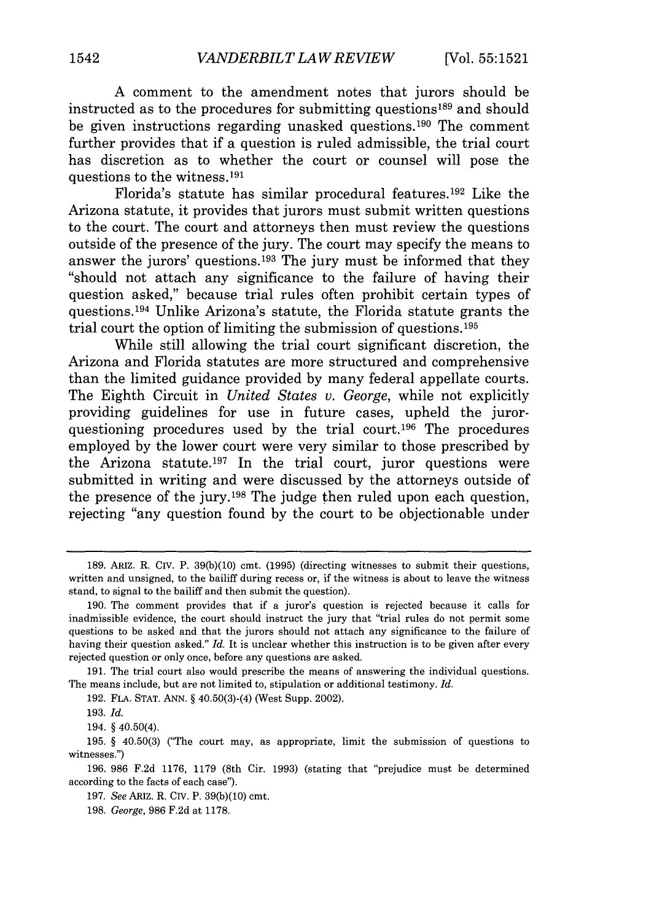A comment to the amendment notes that jurors should be instructed as to the procedures for submitting questions<sup>189</sup> and should be given instructions regarding unasked questions.190 The comment further provides that if a question is ruled admissible, the trial court has discretion as to whether the court or counsel will pose the questions to the witness. <sup>191</sup>

Florida's statute has similar procedural features.<sup>192</sup> Like the Arizona statute, it provides that jurors must submit written questions to the court. The court and attorneys then must review the questions outside of the presence of the jury. The court may specify the means to answer the jurors' questions.<sup>193</sup> The jury must be informed that they "should not attach any significance to the failure of having their question asked," because trial rules often prohibit certain types of questions.1 94 Unlike Arizona's statute, the Florida statute grants the trial court the option of limiting the submission of questions.<sup>195</sup>

While still allowing the trial court significant discretion, the Arizona and Florida statutes are more structured and comprehensive than the limited guidance provided by many federal appellate courts. The Eighth Circuit in *United States v. George,* while not explicitly providing guidelines for use in future cases, upheld the jurorquestioning procedures used by the trial court.<sup>196</sup> The procedures employed by the lower court were very similar to those prescribed by the Arizona statute.197 In the trial court, juror questions were submitted in writing and were discussed by the attorneys outside of the presence of the jury.<sup>198</sup> The judge then ruled upon each question, rejecting "any question found by the court to be objectionable under

194. § 40.50(4).

<sup>189.</sup> ARIz. R. Civ. P. 39(b)(10) cmt. (1995) (directing witnesses to submit their questions, written and unsigned, to the bailiff during recess or, if the witness is about to leave the witness stand, to signal to the bailiff and then submit the question).

<sup>190.</sup> The comment provides that if a juror's question is rejected because it calls for inadmissible evidence, the court should instruct the jury that "trial rules do not permit some questions to be asked and that the jurors should not attach any significance to the failure of having their question asked." *Id.* It is unclear whether this instruction is to be given after every rejected question or only once, before any questions are asked.

<sup>191.</sup> The trial court also would prescribe the means of answering the individual questions. The means include, but are not limited to, stipulation or additional testimony. *Id.*

<sup>192.</sup> FLA. STAT. ANN. § 40.50(3)-(4) (\West Supp. 2002).

<sup>193.</sup> *Id.*

<sup>195. § 40.50(3) (&</sup>quot;The court may, as appropriate, limit the submission of questions to witnesses.")

<sup>196. 986</sup> F.2d 1176, 1179 (8th Cir. 1993) (stating that "prejudice must be determined according to the facts of each case").

<sup>197.</sup> *See* ARIz. R. CIV. P. 39(b)(10) cmt.

<sup>198.</sup> *George,* 986 F.2d at 1178.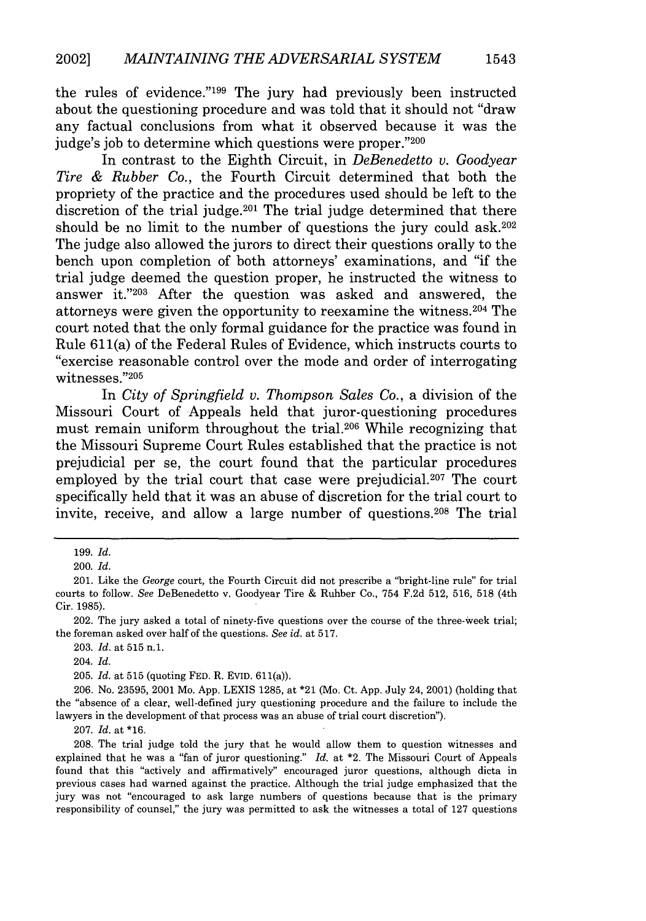the rules of evidence."<sup>199</sup> The jury had previously been instructed about the questioning procedure and was told that it should not "draw any factual conclusions from what it observed because it was the judge's job to determine which questions were proper."200

In contrast to the Eighth Circuit, in *DeBenedetto v. Goodyear Tire & Rubber Co.,* the Fourth Circuit determined that both the propriety of the practice and the procedures used should be left to the discretion of the trial judge.  $201$  The trial judge determined that there should be no limit to the number of questions the jury could  $ask.^{202}$ The judge also allowed the jurors to direct their questions orally to the bench upon completion of both attorneys' examinations, and "if the trial judge deemed the question proper, he instructed the witness to answer it."203 After the question was asked and answered, the attorneys were given the opportunity to reexamine the witness.<sup>204</sup> The court noted that the only formal guidance for the practice was found in Rule 611(a) of the Federal Rules of Evidence, which instructs courts to "exercise reasonable control over the mode and order of interrogating witnesses."205

In *City of Springfield v. Thompson Sales Co.,* a division of the Missouri Court of Appeals held that juror-questioning procedures must remain uniform throughout the trial.<sup>206</sup> While recognizing that the Missouri Supreme Court Rules established that the practice is not prejudicial per se, the court found that the particular procedures employed by the trial court that case were prejudicial.<sup>207</sup> The court specifically held that it was an abuse of discretion for the trial court to invite, receive, and allow a large number of questions.208 The trial

1543

<sup>199.</sup> *Id.*

<sup>200.</sup> *Id.*

<sup>201.</sup> Like the *George* court, the Fourth Circuit did not prescribe a "bright-line rule" for trial courts to follow. *See* DeBenedetto v. Goodyear Tire & Rubber Co., 754 F.2d 512, 516, 518 (4th Cir. 1985).

<sup>202.</sup> The jury asked a total of ninety-five questions over the course of the three-week trial; the foreman asked over half of the questions. *See id.* at 517.

<sup>203.</sup> Id. at 515 **n.1.**

<sup>204.</sup> *Id.*

<sup>205.</sup> *Id.* at 515 (quoting FED. R. EVID. 611(a)).

<sup>206.</sup> No. 23595, 2001 Mo. App. LEXIS 1285, at \*21 (Mo. Ct. App. July 24, 2001) (holding that the "absence of a clear, well-defined jury questioning procedure and the failure to include the lawyers in the development of that process was an abuse of trial court discretion").

<sup>207.</sup> *Id.* at \*16.

<sup>208.</sup> The trial judge told the jury that he would allow them to question witnesses and explained that he was a "fan of juror questioning." *Id.* at \*2. The Missouri Court of Appeals found that this "actively and affirmatively" encouraged juror questions, although dicta in previous cases had warned against the practice. Although the trial judge emphasized that the jury was not "encouraged to ask large numbers of questions because that is the primary responsibility of counsel," the jury was permitted to ask the witnesses a total of 127 questions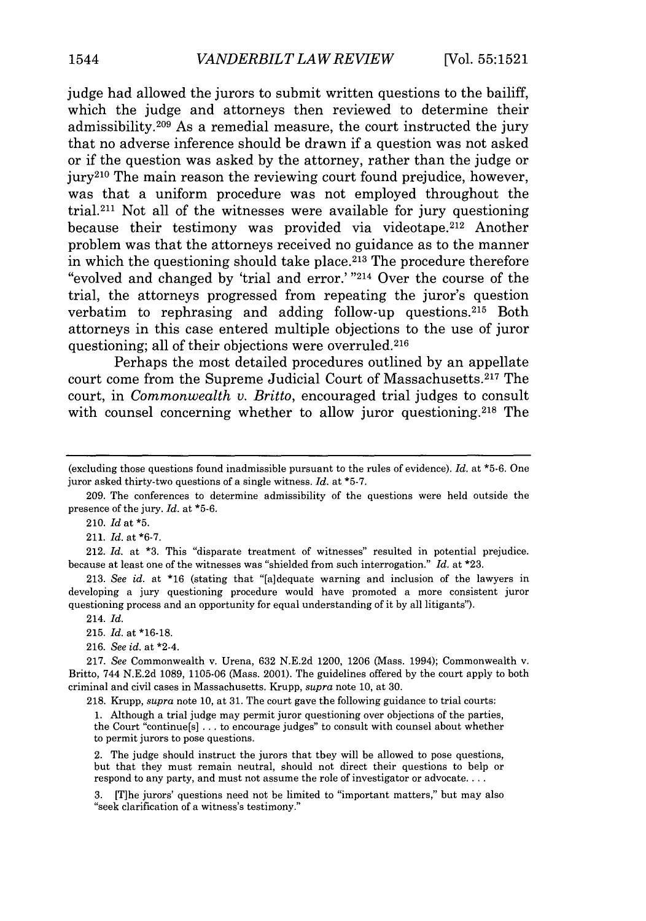judge had allowed the jurors to submit written questions to the bailiff, which the judge and attorneys then reviewed to determine their admissibility.<sup>209</sup> As a remedial measure, the court instructed the jury that no adverse inference should be drawn if a question was not asked or if the question was asked by the attorney, rather than the judge or jury210 The main reason the reviewing court found prejudice, however, was that a uniform procedure was not employed throughout the trial.211 Not all of the witnesses were available for jury questioning because their testimony was provided via videotape.<sup>212</sup> Another problem was that the attorneys received no guidance as to the manner in which the questioning should take place. 213 The procedure therefore "evolved and changed by 'trial and error.' "214 Over the course of the trial, the attorneys progressed from repeating the juror's question verbatim to rephrasing and adding follow-up questions.<sup>215</sup> Both attorneys in this case entered multiple objections to the use of juror questioning; all of their objections were overruled.<sup>216</sup>

Perhaps the most detailed procedures outlined by an appellate court come from the Supreme Judicial Court of Massachusetts.<sup>217</sup> The court, in *Commonwealth v. Britto,* encouraged trial judges to consult with counsel concerning whether to allow juror questioning.<sup>218</sup> The

210. *Id* at \*5.

211. *Id.* at **\*6-7.**

212. *Id.* at **\*3.** This "disparate treatment of witnesses" resulted in potential prejudice. because at least one of the witnesses was "shielded from such interrogation." *Id.* at \*23.

213. *See id.* at **\*16** (stating that "[a]dequate warning and inclusion of the lawyers in developing a jury questioning procedure would have promoted a more consistent juror questioning process and an opportunity for equal understanding of it by all litigants").

- 214. *Id.*
- 215. *Id.* at **\*16-18.**
- 216. *See id.* at \*2-4.

217. *See* Commonwealth v. Urena, 632 N.E.2d 1200, 1206 (Mass. 1994); Commonwealth v. Britto, 744 N.E.2d 1089, 1105-06 (Mass. 2001). The guidelines offered by the court apply to both criminal and civil cases in Massachusetts. Krupp, *supra* note 10, at 30.

218. Krupp, *supra* note 10, at 31. The court gave the following guidance to trial courts:

1. Although a trial judge may permit juror questioning over objections of the parties, the Court "continue[s] ... to encourage judges" to consult with counsel about whether to permit jurors to pose questions.

2. The judge should instruct the jurors that they will be allowed to pose questions, but that they must remain neutral, should not direct their questions to help or respond to any party, and must not assume the role of investigator or advocate **....**

3. [Tlhe jurors' questions need not be limited to "important matters," but may also "seek clarification of a witness's testimony."

<sup>(</sup>excluding those questions found inadmissible pursuant to the rules of evidence). *Id.* at \*5-6. One juror asked thirty-two questions of a single witness. *Id.* at **\*5-7.**

<sup>209.</sup> The conferences to determine admissibility of the questions were held outside the presence of the jury. *Id.* at \*5-6.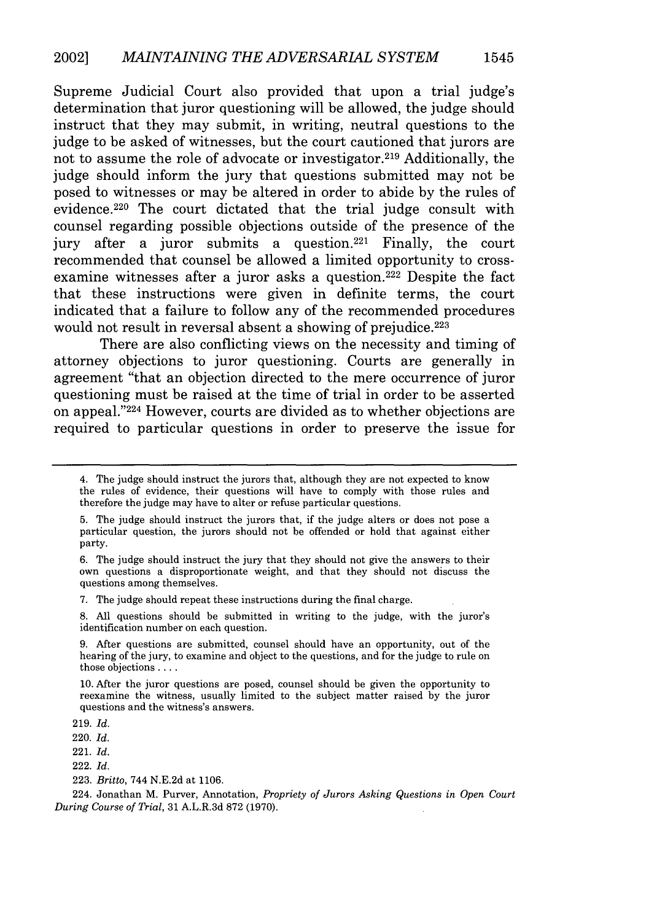Supreme Judicial Court also provided that upon a trial judge's determination that juror questioning will be allowed, the judge should instruct that they may submit, in writing, neutral questions to the judge to be asked of witnesses, but the court cautioned that jurors are not to assume the role of advocate or investigator. 219 Additionally, the judge should inform the jury that questions submitted may not be posed to witnesses or may be altered in order to abide **by** the rules of evidence. 220 The court dictated that the trial judge consult with counsel regarding possible objections outside of the presence of the jury after a juror submits a question.<sup>221</sup> Finally, the court recommended that counsel be allowed a limited opportunity to crossexamine witnesses after a juror asks a question.<sup>222</sup> Despite the fact that these instructions were given in definite terms, the court indicated that a failure to follow any of the recommended procedures would not result in reversal absent a showing of prejudice.<sup>223</sup>

There are also conflicting views on the necessity and timing of attorney objections to juror questioning. Courts are generally in agreement "that an objection directed to the mere occurrence of juror questioning must be raised at the time of trial in order to be asserted on appeal."224 However, courts are divided as to whether objections are required to particular questions in order to preserve the issue for

**7.** The judge should repeat these instructions during the final charge.

**8. All** questions should be submitted in writing to the judge, with the juror's identification number on each question.

**9.** After questions are submitted, counsel should have an opportunity, out of the hearing of the jury, to examine and object to the questions, and for the judge to rule on those objections **....**

**10.** After the juror questions are posed, counsel should be given the opportunity to reexamine the witness, usually limited to the subject matter raised **by** the juror questions and the witness's answers.

**219.** *Id.*

220. *Id.*

**223.** *Britto,* 744 **N.E.2d** at **1106.**

224. Jonathan M. Purver, Annotation, *Propriety of Jurors Asking Questions in Open Court During Course of Trial,* **31** A.L.R.3d **872 (1970).**

<sup>4.</sup> The judge should instruct the jurors that, although they are not expected to know the rules of evidence, their questions will have to comply with those rules and therefore the judge may have to alter or refuse particular questions.

**<sup>5.</sup>** The judge should instruct the jurors that, if the judge alters or does not pose a particular question, the jurors should not be offended or hold that against either party.

**<sup>6.</sup>** The judge should instruct the jury that they should not give the answers to their own questions a disproportionate weight, and that they should not discuss the questions among themselves.

<sup>221.</sup> *Id.*

<sup>222.</sup> *Id.*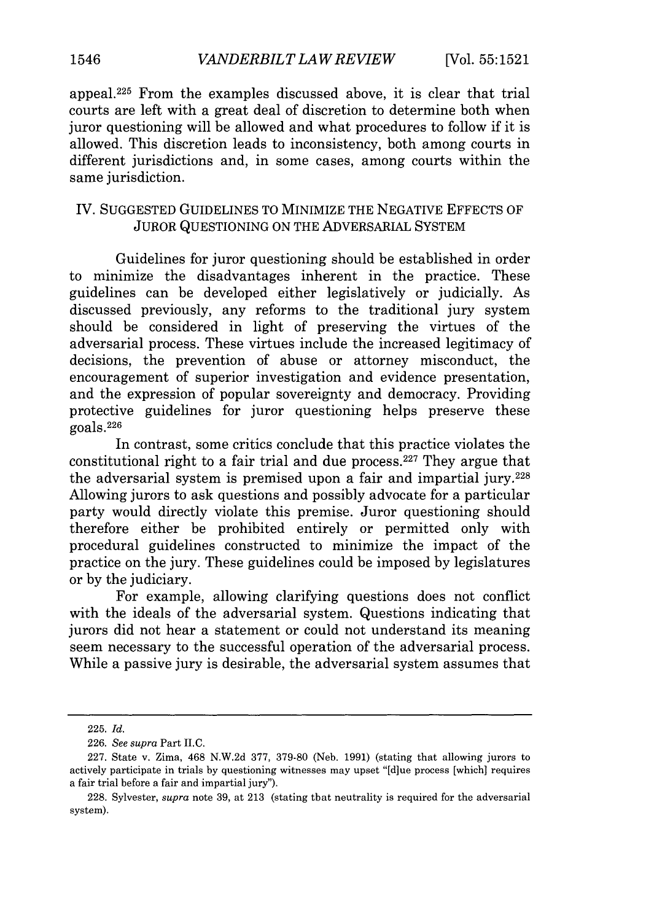appeal. 225 From the examples discussed above, it is clear that trial courts are left with a great deal of discretion to determine both when juror questioning will be allowed and what procedures to follow if it is allowed. This discretion leads to inconsistency, both among courts in different jurisdictions and, in some cases, among courts within the same jurisdiction.

#### IV. SUGGESTED GUIDELINES TO MINIMIZE THE NEGATIVE EFFECTS OF JUROR QUESTIONING ON THE ADVERSARIAL SYSTEM

Guidelines for juror questioning should be established in order to minimize the disadvantages inherent in the practice. These guidelines can be developed either legislatively or judicially. As discussed previously, any reforms to the traditional jury system should be considered in light of preserving the virtues of the adversarial process. These virtues include the increased legitimacy of decisions, the prevention of abuse or attorney misconduct, the encouragement of superior investigation and evidence presentation, and the expression of popular sovereignty and democracy. Providing protective guidelines for juror questioning helps preserve these goals. <sup>226</sup>

In contrast, some critics conclude that this practice violates the constitutional right to a fair trial and due process. $227$  They argue that the adversarial system is premised upon a fair and impartial jury.228 Allowing jurors to ask questions and possibly advocate for a particular party would directly violate this premise. Juror questioning should therefore either be prohibited entirely or permitted only with procedural guidelines constructed to minimize the impact of the practice on the jury. These guidelines could be imposed by legislatures or by the judiciary.

For example, allowing clarifying questions does not conflict with the ideals of the adversarial system. Questions indicating that jurors did not hear a statement or could not understand its meaning seem necessary to the successful operation of the adversarial process. While a passive jury is desirable, the adversarial system assumes that

<sup>225.</sup> *Id.*

<sup>226.</sup> *See supra* Part II.C.

<sup>227.</sup> State v. Zima, 468 N.W.2d 377, 379-80 (Neb. 1991) (stating that allowing jurors to actively participate in trials by questioning witnesses may upset "[d]ue process [which] requires a fair trial before a fair and impartial jury").

<sup>228.</sup> Sylvester, *supra* note 39, at 213 (stating that neutrality is required for the adversarial system).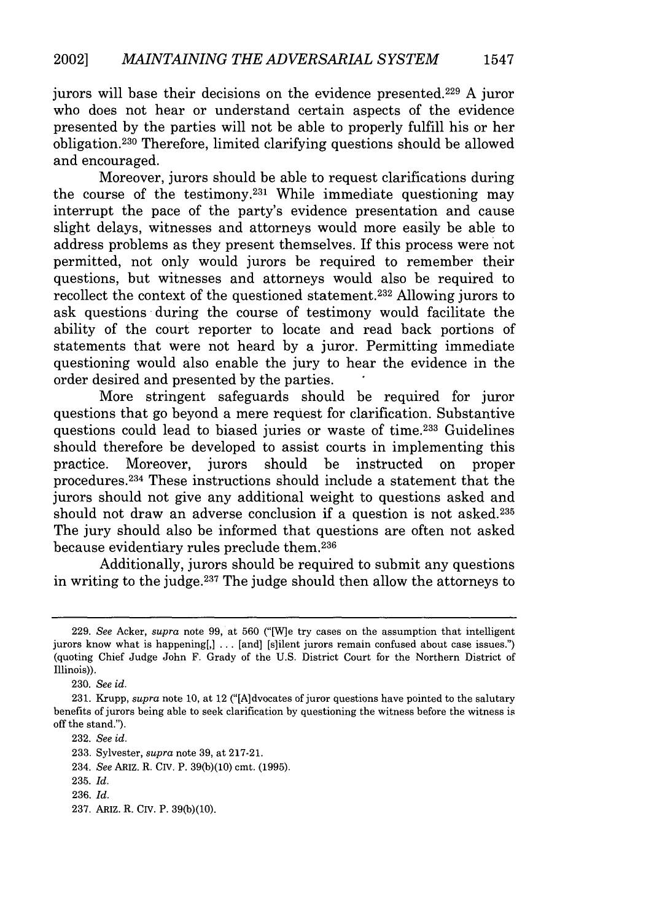jurors will base their decisions on the evidence presented. 229 A juror who does not hear or understand certain aspects of the evidence presented by the parties will not be able to properly fulfill his or her obligation.230 Therefore, limited clarifying questions should be allowed and encouraged.

Moreover, jurors should be able to request clarifications during the course of the testimony.<sup>231</sup> While immediate questioning may interrupt the pace of the party's evidence presentation and cause slight delays, witnesses and attorneys would more easily be able to address problems as they present themselves. If this process were not permitted, not only would jurors be required to remember their questions, but witnesses and attorneys would also be required to recollect the context of the questioned statement.<sup>232</sup> Allowing jurors to ask questions during the course of testimony would facilitate the ability of the court reporter to locate and read back portions of statements that were not heard by a juror. Permitting immediate questioning would also enable the jury to hear the evidence in the order desired and presented by the parties.

More stringent safeguards should be required for juror questions that go beyond a mere request for clarification. Substantive questions could lead to biased juries or waste of time.<sup>233</sup> Guidelines should therefore be developed to assist courts in implementing this practice. Moreover, jurors should be instructed on proper procedures. 234 These instructions should include a statement that the jurors should not give any additional weight to questions asked and should not draw an adverse conclusion if a question is not asked.235 The jury should also be informed that questions are often not asked because evidentiary rules preclude them.236

Additionally, jurors should be required to submit any questions in writing to the judge.237 The judge should then allow the attorneys to

1547

<sup>229.</sup> *See* Acker, *supra* note 99, at 560 ("[W]e try cases on the assumption that intelligent jurors know what is happening[,] ... [and] [s]ilent jurors remain confused about case issues.") (quoting Chief Judge John F. Grady of the U.S. District Court for the Northern District of Illinois)).

<sup>230.</sup> *See id.*

<sup>231.</sup> Krupp, *supra* note 10, at 12 ("[A]dvocates of juror questions have pointed to the salutary benefits of jurors being able to seek clarification by questioning the witness before the witness is off the stand.").

<sup>232.</sup> *See id.*

<sup>233.</sup> Sylvester, *supra* note 39, at 217-21.

<sup>234.</sup> *See* ARIZ. R. CIV. P. 39(b)(10) cmt. (1995).

<sup>235.</sup> *Id.*

<sup>236.</sup> *Id.*

<sup>237.</sup> ARiz. R. CIV. P. 39(b)(10).